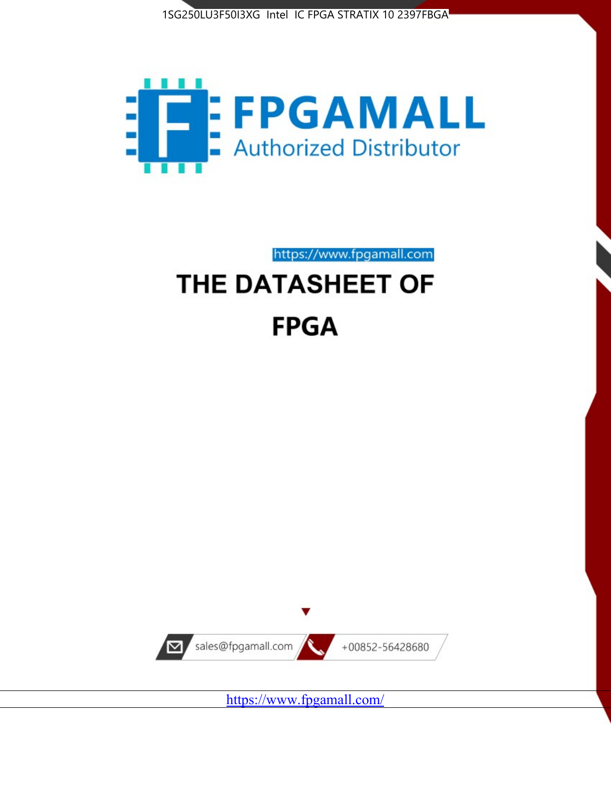



https://www.fpgamall.com

# THE DATASHEET OF **FPGA**



<https://www.fpgamall.com/>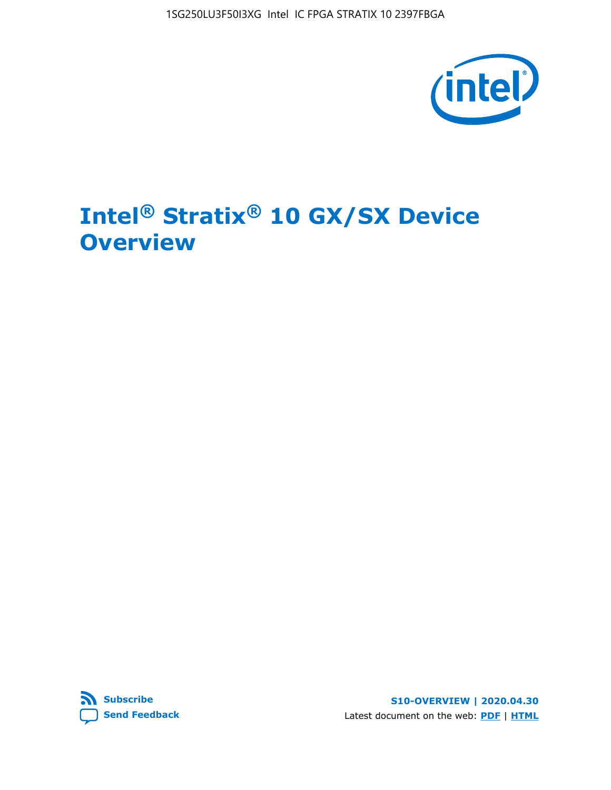

# **Intel® Stratix® 10 GX/SX Device Overview**



**S10-OVERVIEW | 2020.04.30** Latest document on the web: **[PDF](https://www.intel.com/content/dam/www/programmable/us/en/pdfs/literature/hb/stratix-10/s10-overview.pdf)** | **[HTML](https://www.intel.com/content/www/us/en/programmable/documentation/joc1442261161666.html)**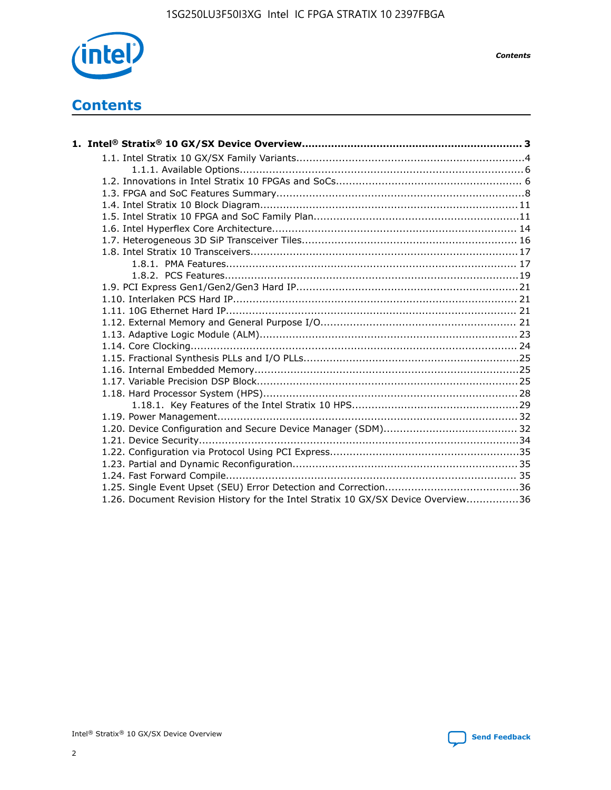

*Contents*

# **Contents**

| 1.26. Document Revision History for the Intel Stratix 10 GX/SX Device Overview36 |  |
|----------------------------------------------------------------------------------|--|

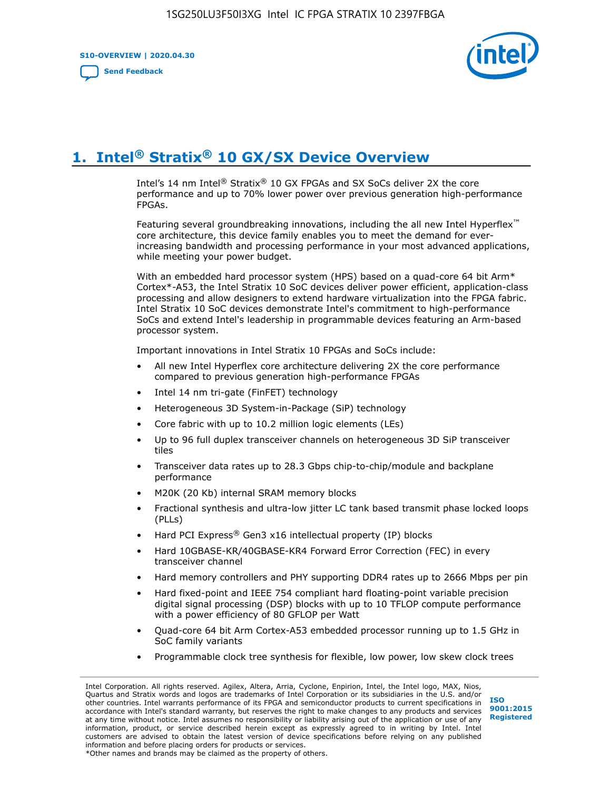**S10-OVERVIEW | 2020.04.30**

**[Send Feedback](mailto:FPGAtechdocfeedback@intel.com?subject=Feedback%20on%20Intel%20Stratix%2010%20GX/SX%20Device%20Overview%20(S10-OVERVIEW%202020.04.30)&body=We%20appreciate%20your%20feedback.%20In%20your%20comments,%20also%20specify%20the%20page%20number%20or%20paragraph.%20Thank%20you.)**



# **1. Intel® Stratix® 10 GX/SX Device Overview**

Intel's 14 nm Intel® Stratix® 10 GX FPGAs and SX SoCs deliver 2X the core performance and up to 70% lower power over previous generation high-performance FPGAs.

Featuring several groundbreaking innovations, including the all new Intel Hyperflex™ core architecture, this device family enables you to meet the demand for everincreasing bandwidth and processing performance in your most advanced applications, while meeting your power budget.

With an embedded hard processor system (HPS) based on a quad-core 64 bit Arm\* Cortex\*-A53, the Intel Stratix 10 SoC devices deliver power efficient, application-class processing and allow designers to extend hardware virtualization into the FPGA fabric. Intel Stratix 10 SoC devices demonstrate Intel's commitment to high-performance SoCs and extend Intel's leadership in programmable devices featuring an Arm-based processor system.

Important innovations in Intel Stratix 10 FPGAs and SoCs include:

- All new Intel Hyperflex core architecture delivering 2X the core performance compared to previous generation high-performance FPGAs
- Intel 14 nm tri-gate (FinFET) technology
- Heterogeneous 3D System-in-Package (SiP) technology
- Core fabric with up to 10.2 million logic elements (LEs)
- Up to 96 full duplex transceiver channels on heterogeneous 3D SiP transceiver tiles
- Transceiver data rates up to 28.3 Gbps chip-to-chip/module and backplane performance
- M20K (20 Kb) internal SRAM memory blocks
- Fractional synthesis and ultra-low jitter LC tank based transmit phase locked loops (PLLs)
- Hard PCI Express<sup>®</sup> Gen3 x16 intellectual property (IP) blocks
- Hard 10GBASE-KR/40GBASE-KR4 Forward Error Correction (FEC) in every transceiver channel
- Hard memory controllers and PHY supporting DDR4 rates up to 2666 Mbps per pin
- Hard fixed-point and IEEE 754 compliant hard floating-point variable precision digital signal processing (DSP) blocks with up to 10 TFLOP compute performance with a power efficiency of 80 GFLOP per Watt
- Quad-core 64 bit Arm Cortex-A53 embedded processor running up to 1.5 GHz in SoC family variants
- Programmable clock tree synthesis for flexible, low power, low skew clock trees

Intel Corporation. All rights reserved. Agilex, Altera, Arria, Cyclone, Enpirion, Intel, the Intel logo, MAX, Nios, Quartus and Stratix words and logos are trademarks of Intel Corporation or its subsidiaries in the U.S. and/or other countries. Intel warrants performance of its FPGA and semiconductor products to current specifications in accordance with Intel's standard warranty, but reserves the right to make changes to any products and services at any time without notice. Intel assumes no responsibility or liability arising out of the application or use of any information, product, or service described herein except as expressly agreed to in writing by Intel. Intel customers are advised to obtain the latest version of device specifications before relying on any published information and before placing orders for products or services. \*Other names and brands may be claimed as the property of others.

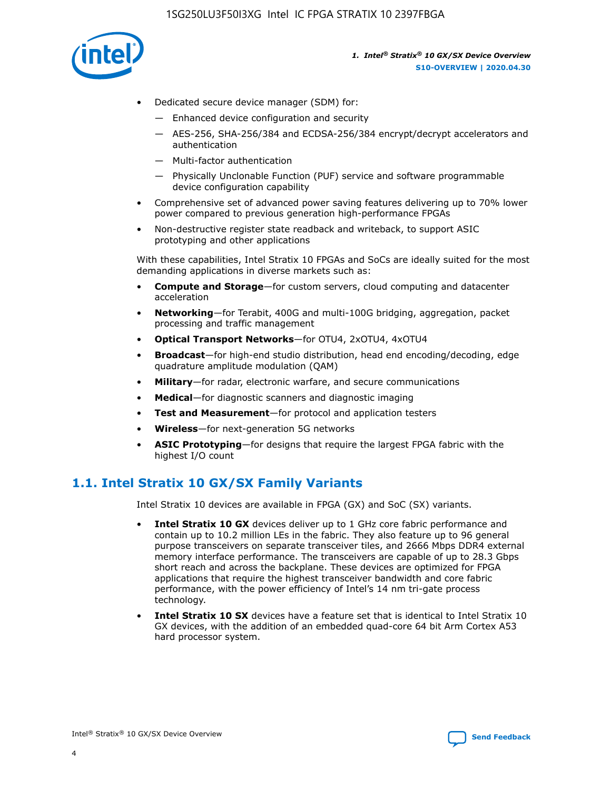

- Dedicated secure device manager (SDM) for:
	- Enhanced device configuration and security
	- AES-256, SHA-256/384 and ECDSA-256/384 encrypt/decrypt accelerators and authentication
	- Multi-factor authentication
	- Physically Unclonable Function (PUF) service and software programmable device configuration capability
- Comprehensive set of advanced power saving features delivering up to 70% lower power compared to previous generation high-performance FPGAs
- Non-destructive register state readback and writeback, to support ASIC prototyping and other applications

With these capabilities, Intel Stratix 10 FPGAs and SoCs are ideally suited for the most demanding applications in diverse markets such as:

- **Compute and Storage**—for custom servers, cloud computing and datacenter acceleration
- **Networking**—for Terabit, 400G and multi-100G bridging, aggregation, packet processing and traffic management
- **Optical Transport Networks**—for OTU4, 2xOTU4, 4xOTU4
- **Broadcast**—for high-end studio distribution, head end encoding/decoding, edge quadrature amplitude modulation (QAM)
- **Military**—for radar, electronic warfare, and secure communications
- **Medical**—for diagnostic scanners and diagnostic imaging
- **Test and Measurement**—for protocol and application testers
- **Wireless**—for next-generation 5G networks
- **ASIC Prototyping**—for designs that require the largest FPGA fabric with the highest I/O count

## **1.1. Intel Stratix 10 GX/SX Family Variants**

Intel Stratix 10 devices are available in FPGA (GX) and SoC (SX) variants.

- **Intel Stratix 10 GX** devices deliver up to 1 GHz core fabric performance and contain up to 10.2 million LEs in the fabric. They also feature up to 96 general purpose transceivers on separate transceiver tiles, and 2666 Mbps DDR4 external memory interface performance. The transceivers are capable of up to 28.3 Gbps short reach and across the backplane. These devices are optimized for FPGA applications that require the highest transceiver bandwidth and core fabric performance, with the power efficiency of Intel's 14 nm tri-gate process technology.
- **Intel Stratix 10 SX** devices have a feature set that is identical to Intel Stratix 10 GX devices, with the addition of an embedded quad-core 64 bit Arm Cortex A53 hard processor system.

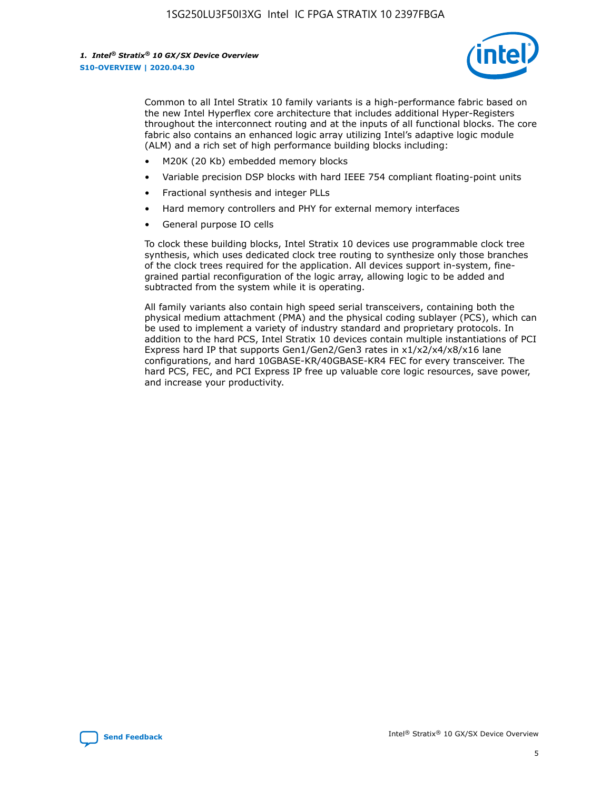

Common to all Intel Stratix 10 family variants is a high-performance fabric based on the new Intel Hyperflex core architecture that includes additional Hyper-Registers throughout the interconnect routing and at the inputs of all functional blocks. The core fabric also contains an enhanced logic array utilizing Intel's adaptive logic module (ALM) and a rich set of high performance building blocks including:

- M20K (20 Kb) embedded memory blocks
- Variable precision DSP blocks with hard IEEE 754 compliant floating-point units
- Fractional synthesis and integer PLLs
- Hard memory controllers and PHY for external memory interfaces
- General purpose IO cells

To clock these building blocks, Intel Stratix 10 devices use programmable clock tree synthesis, which uses dedicated clock tree routing to synthesize only those branches of the clock trees required for the application. All devices support in-system, finegrained partial reconfiguration of the logic array, allowing logic to be added and subtracted from the system while it is operating.

All family variants also contain high speed serial transceivers, containing both the physical medium attachment (PMA) and the physical coding sublayer (PCS), which can be used to implement a variety of industry standard and proprietary protocols. In addition to the hard PCS, Intel Stratix 10 devices contain multiple instantiations of PCI Express hard IP that supports Gen1/Gen2/Gen3 rates in x1/x2/x4/x8/x16 lane configurations, and hard 10GBASE-KR/40GBASE-KR4 FEC for every transceiver. The hard PCS, FEC, and PCI Express IP free up valuable core logic resources, save power, and increase your productivity.

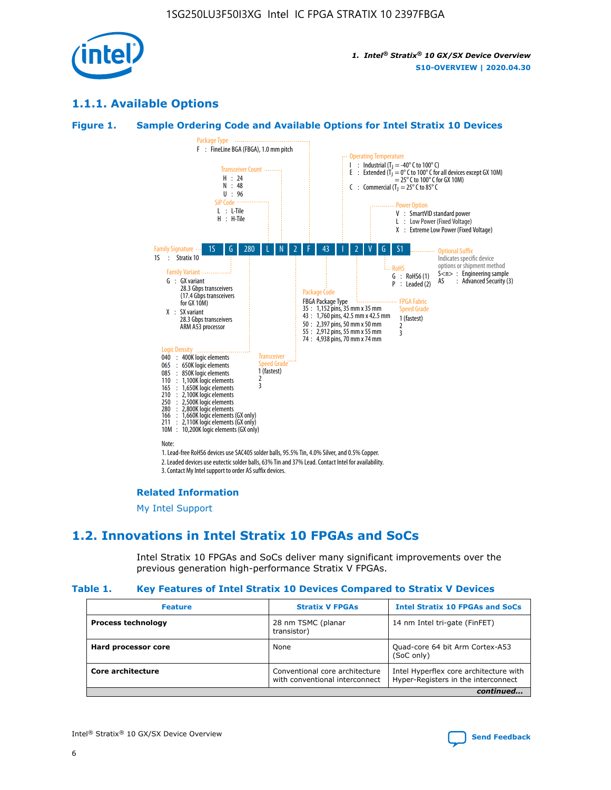

## **1.1.1. Available Options**

#### **Figure 1. Sample Ordering Code and Available Options for Intel Stratix 10 Devices**



## **Related Information**

[My Intel Support](https://www.intel.com/content/www/us/en/programmable/my-intel/mal-home.html)

## **1.2. Innovations in Intel Stratix 10 FPGAs and SoCs**

Intel Stratix 10 FPGAs and SoCs deliver many significant improvements over the previous generation high-performance Stratix V FPGAs.

#### **Table 1. Key Features of Intel Stratix 10 Devices Compared to Stratix V Devices**

| <b>Feature</b>            | <b>Stratix V FPGAs</b>                                           | <b>Intel Stratix 10 FPGAs and SoCs</b>                                        |
|---------------------------|------------------------------------------------------------------|-------------------------------------------------------------------------------|
| <b>Process technology</b> | 28 nm TSMC (planar<br>transistor)                                | 14 nm Intel tri-gate (FinFET)                                                 |
| Hard processor core       | None                                                             | Quad-core 64 bit Arm Cortex-A53<br>(SoC only)                                 |
| Core architecture         | Conventional core architecture<br>with conventional interconnect | Intel Hyperflex core architecture with<br>Hyper-Registers in the interconnect |
|                           |                                                                  | continued                                                                     |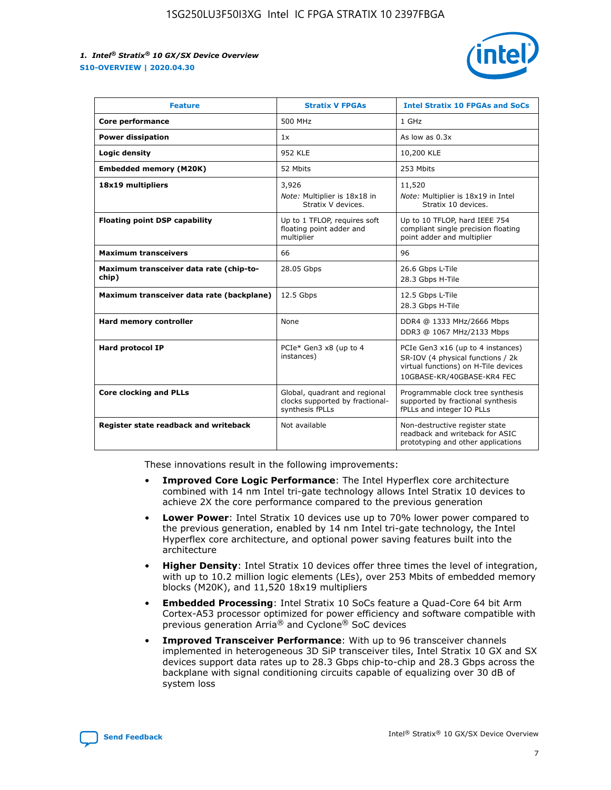

| <b>Feature</b>                                   | <b>Stratix V FPGAs</b>                                                              | <b>Intel Stratix 10 FPGAs and SoCs</b>                                                                                                       |
|--------------------------------------------------|-------------------------------------------------------------------------------------|----------------------------------------------------------------------------------------------------------------------------------------------|
| Core performance                                 | 500 MHz                                                                             | 1 GHz                                                                                                                                        |
| <b>Power dissipation</b>                         | 1x                                                                                  | As low as $0.3x$                                                                                                                             |
| Logic density                                    | 952 KLE                                                                             | 10,200 KLE                                                                                                                                   |
| <b>Embedded memory (M20K)</b>                    | 52 Mbits                                                                            | 253 Mbits                                                                                                                                    |
| 18x19 multipliers                                | 3,926                                                                               | 11,520                                                                                                                                       |
|                                                  | Note: Multiplier is 18x18 in<br>Stratix V devices.                                  | Note: Multiplier is 18x19 in Intel<br>Stratix 10 devices.                                                                                    |
| <b>Floating point DSP capability</b>             | Up to 1 TFLOP, requires soft<br>floating point adder and<br>multiplier              | Up to 10 TFLOP, hard IEEE 754<br>compliant single precision floating<br>point adder and multiplier                                           |
| <b>Maximum transceivers</b>                      | 66                                                                                  | 96                                                                                                                                           |
| Maximum transceiver data rate (chip-to-<br>chip) | 28.05 Gbps                                                                          | 26.6 Gbps L-Tile<br>28.3 Gbps H-Tile                                                                                                         |
| Maximum transceiver data rate (backplane)        | 12.5 Gbps                                                                           | 12.5 Gbps L-Tile<br>28.3 Gbps H-Tile                                                                                                         |
| <b>Hard memory controller</b>                    | None                                                                                | DDR4 @ 1333 MHz/2666 Mbps<br>DDR3 @ 1067 MHz/2133 Mbps                                                                                       |
| <b>Hard protocol IP</b>                          | PCIe* Gen3 x8 (up to 4<br>instances)                                                | PCIe Gen3 x16 (up to 4 instances)<br>SR-IOV (4 physical functions / 2k<br>virtual functions) on H-Tile devices<br>10GBASE-KR/40GBASE-KR4 FEC |
| <b>Core clocking and PLLs</b>                    | Global, quadrant and regional<br>clocks supported by fractional-<br>synthesis fPLLs | Programmable clock tree synthesis<br>supported by fractional synthesis<br>fPLLs and integer IO PLLs                                          |
| Register state readback and writeback            | Not available                                                                       | Non-destructive register state<br>readback and writeback for ASIC<br>prototyping and other applications                                      |

These innovations result in the following improvements:

- **Improved Core Logic Performance**: The Intel Hyperflex core architecture combined with 14 nm Intel tri-gate technology allows Intel Stratix 10 devices to achieve 2X the core performance compared to the previous generation
- **Lower Power**: Intel Stratix 10 devices use up to 70% lower power compared to the previous generation, enabled by 14 nm Intel tri-gate technology, the Intel Hyperflex core architecture, and optional power saving features built into the architecture
- **Higher Density**: Intel Stratix 10 devices offer three times the level of integration, with up to 10.2 million logic elements (LEs), over 253 Mbits of embedded memory blocks (M20K), and 11,520 18x19 multipliers
- **Embedded Processing**: Intel Stratix 10 SoCs feature a Quad-Core 64 bit Arm Cortex-A53 processor optimized for power efficiency and software compatible with previous generation Arria® and Cyclone® SoC devices
- **Improved Transceiver Performance**: With up to 96 transceiver channels implemented in heterogeneous 3D SiP transceiver tiles, Intel Stratix 10 GX and SX devices support data rates up to 28.3 Gbps chip-to-chip and 28.3 Gbps across the backplane with signal conditioning circuits capable of equalizing over 30 dB of system loss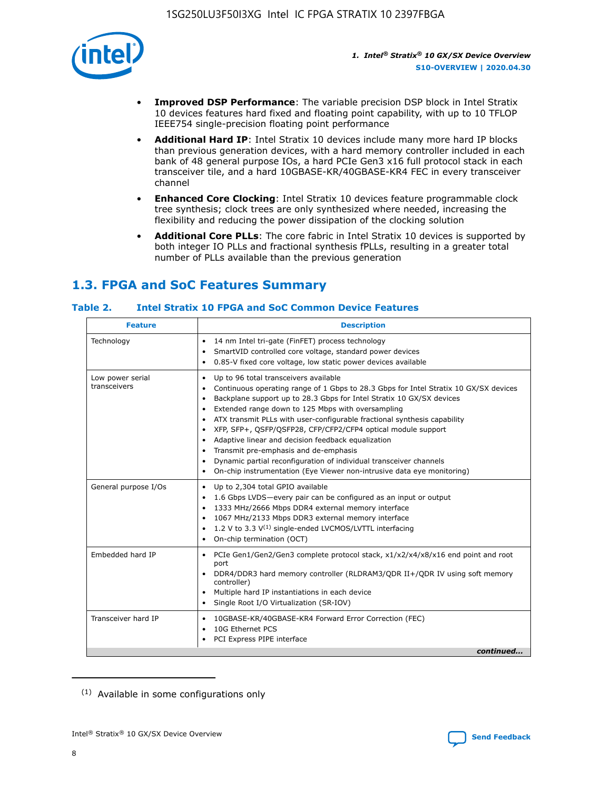

- **Improved DSP Performance**: The variable precision DSP block in Intel Stratix 10 devices features hard fixed and floating point capability, with up to 10 TFLOP IEEE754 single-precision floating point performance
- **Additional Hard IP**: Intel Stratix 10 devices include many more hard IP blocks than previous generation devices, with a hard memory controller included in each bank of 48 general purpose IOs, a hard PCIe Gen3 x16 full protocol stack in each transceiver tile, and a hard 10GBASE-KR/40GBASE-KR4 FEC in every transceiver channel
- **Enhanced Core Clocking**: Intel Stratix 10 devices feature programmable clock tree synthesis; clock trees are only synthesized where needed, increasing the flexibility and reducing the power dissipation of the clocking solution
- **Additional Core PLLs**: The core fabric in Intel Stratix 10 devices is supported by both integer IO PLLs and fractional synthesis fPLLs, resulting in a greater total number of PLLs available than the previous generation

## **1.3. FPGA and SoC Features Summary**

## **Table 2. Intel Stratix 10 FPGA and SoC Common Device Features**

| <b>Feature</b>                   | <b>Description</b>                                                                                                                                                                                                                                                                                                                                                                                                                                                                                                                                                                                                                                                                                                                      |
|----------------------------------|-----------------------------------------------------------------------------------------------------------------------------------------------------------------------------------------------------------------------------------------------------------------------------------------------------------------------------------------------------------------------------------------------------------------------------------------------------------------------------------------------------------------------------------------------------------------------------------------------------------------------------------------------------------------------------------------------------------------------------------------|
| Technology                       | 14 nm Intel tri-gate (FinFET) process technology<br>٠<br>SmartVID controlled core voltage, standard power devices<br>0.85-V fixed core voltage, low static power devices available                                                                                                                                                                                                                                                                                                                                                                                                                                                                                                                                                      |
| Low power serial<br>transceivers | Up to 96 total transceivers available<br>$\bullet$<br>Continuous operating range of 1 Gbps to 28.3 Gbps for Intel Stratix 10 GX/SX devices<br>$\bullet$<br>Backplane support up to 28.3 Gbps for Intel Stratix 10 GX/SX devices<br>$\bullet$<br>Extended range down to 125 Mbps with oversampling<br>$\bullet$<br>ATX transmit PLLs with user-configurable fractional synthesis capability<br>$\bullet$<br>• XFP, SFP+, QSFP/QSFP28, CFP/CFP2/CFP4 optical module support<br>• Adaptive linear and decision feedback equalization<br>Transmit pre-emphasis and de-emphasis<br>Dynamic partial reconfiguration of individual transceiver channels<br>$\bullet$<br>On-chip instrumentation (Eye Viewer non-intrusive data eye monitoring) |
| General purpose I/Os             | Up to 2,304 total GPIO available<br>$\bullet$<br>1.6 Gbps LVDS-every pair can be configured as an input or output<br>1333 MHz/2666 Mbps DDR4 external memory interface<br>1067 MHz/2133 Mbps DDR3 external memory interface<br>• 1.2 V to 3.3 $V^{(1)}$ single-ended LVCMOS/LVTTL interfacing<br>On-chip termination (OCT)<br>$\bullet$                                                                                                                                                                                                                                                                                                                                                                                                 |
| Embedded hard IP                 | PCIe Gen1/Gen2/Gen3 complete protocol stack, $x1/x2/x4/x8/x16$ end point and root<br>$\bullet$<br>port<br>DDR4/DDR3 hard memory controller (RLDRAM3/QDR II+/QDR IV using soft memory<br>controller)<br>• Multiple hard IP instantiations in each device<br>• Single Root I/O Virtualization (SR-IOV)                                                                                                                                                                                                                                                                                                                                                                                                                                    |
| Transceiver hard IP              | 10GBASE-KR/40GBASE-KR4 Forward Error Correction (FEC)<br>$\bullet$<br>10G Ethernet PCS<br>$\bullet$<br>PCI Express PIPE interface<br>$\bullet$<br>continued                                                                                                                                                                                                                                                                                                                                                                                                                                                                                                                                                                             |

<sup>(1)</sup> Available in some configurations only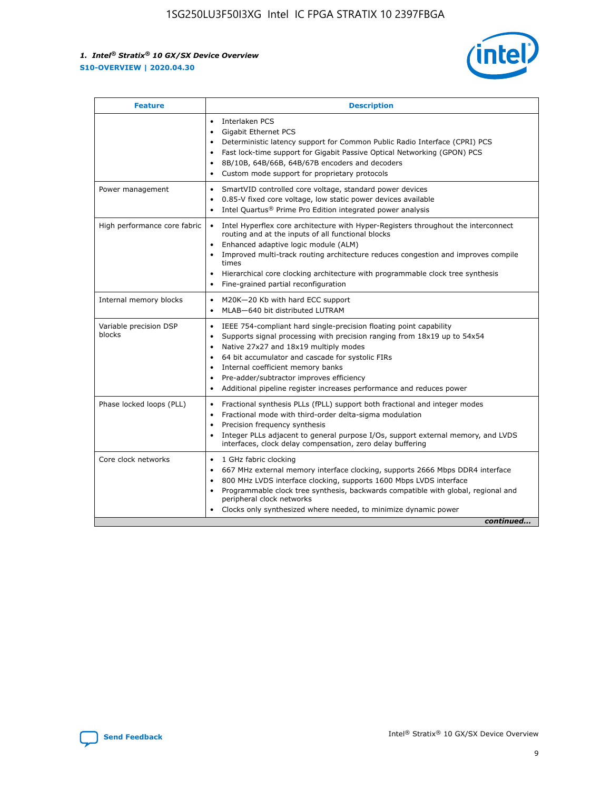

| <b>Feature</b>                   | <b>Description</b>                                                                                                                                                                                                                                                                                                                                                                                                                                            |
|----------------------------------|---------------------------------------------------------------------------------------------------------------------------------------------------------------------------------------------------------------------------------------------------------------------------------------------------------------------------------------------------------------------------------------------------------------------------------------------------------------|
|                                  | Interlaken PCS<br>$\bullet$<br>Gigabit Ethernet PCS<br>$\bullet$<br>Deterministic latency support for Common Public Radio Interface (CPRI) PCS<br>$\bullet$<br>Fast lock-time support for Gigabit Passive Optical Networking (GPON) PCS<br>٠<br>8B/10B, 64B/66B, 64B/67B encoders and decoders<br>Custom mode support for proprietary protocols<br>۰                                                                                                          |
| Power management                 | SmartVID controlled core voltage, standard power devices<br>$\bullet$<br>0.85-V fixed core voltage, low static power devices available<br>$\bullet$<br>Intel Quartus <sup>®</sup> Prime Pro Edition integrated power analysis<br>٠                                                                                                                                                                                                                            |
| High performance core fabric     | Intel Hyperflex core architecture with Hyper-Registers throughout the interconnect<br>routing and at the inputs of all functional blocks<br>Enhanced adaptive logic module (ALM)<br>Improved multi-track routing architecture reduces congestion and improves compile<br>times<br>Hierarchical core clocking architecture with programmable clock tree synthesis<br>$\bullet$<br>Fine-grained partial reconfiguration                                         |
| Internal memory blocks           | M20K-20 Kb with hard ECC support<br>٠<br>MLAB-640 bit distributed LUTRAM<br>$\bullet$                                                                                                                                                                                                                                                                                                                                                                         |
| Variable precision DSP<br>blocks | IEEE 754-compliant hard single-precision floating point capability<br>$\bullet$<br>Supports signal processing with precision ranging from 18x19 up to 54x54<br>$\bullet$<br>Native 27x27 and 18x19 multiply modes<br>٠<br>64 bit accumulator and cascade for systolic FIRs<br>Internal coefficient memory banks<br>Pre-adder/subtractor improves efficiency<br>$\bullet$<br>Additional pipeline register increases performance and reduces power<br>$\bullet$ |
| Phase locked loops (PLL)         | Fractional synthesis PLLs (fPLL) support both fractional and integer modes<br>$\bullet$<br>Fractional mode with third-order delta-sigma modulation<br>Precision frequency synthesis<br>$\bullet$<br>Integer PLLs adjacent to general purpose I/Os, support external memory, and LVDS<br>$\bullet$<br>interfaces, clock delay compensation, zero delay buffering                                                                                               |
| Core clock networks              | 1 GHz fabric clocking<br>٠<br>667 MHz external memory interface clocking, supports 2666 Mbps DDR4 interface<br>$\bullet$<br>800 MHz LVDS interface clocking, supports 1600 Mbps LVDS interface<br>$\bullet$<br>Programmable clock tree synthesis, backwards compatible with global, regional and<br>$\bullet$<br>peripheral clock networks<br>Clocks only synthesized where needed, to minimize dynamic power<br>continued                                    |

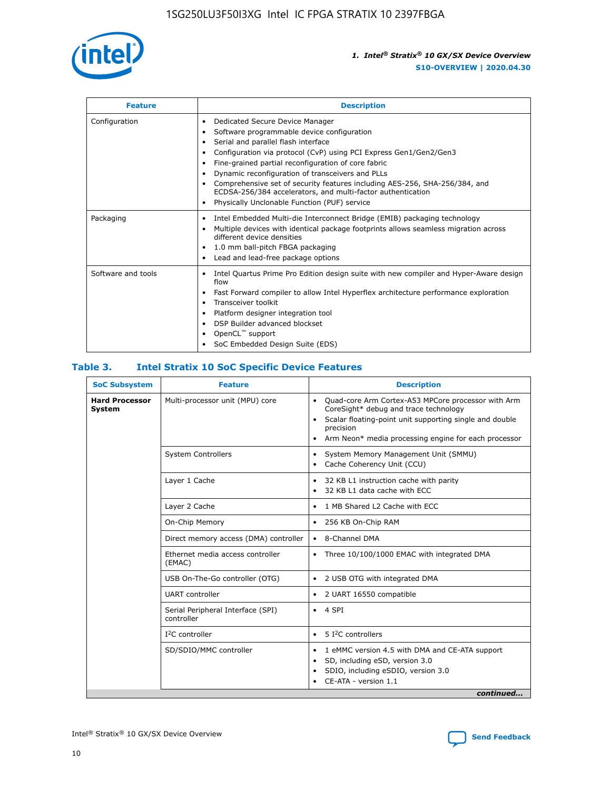

| <b>Feature</b>     | <b>Description</b>                                                                                                                                                                                                                                                                                                                                                                                                                                                                                                    |
|--------------------|-----------------------------------------------------------------------------------------------------------------------------------------------------------------------------------------------------------------------------------------------------------------------------------------------------------------------------------------------------------------------------------------------------------------------------------------------------------------------------------------------------------------------|
| Configuration      | Dedicated Secure Device Manager<br>٠<br>Software programmable device configuration<br>٠<br>Serial and parallel flash interface<br>٠<br>Configuration via protocol (CvP) using PCI Express Gen1/Gen2/Gen3<br>Fine-grained partial reconfiguration of core fabric<br>Dynamic reconfiguration of transceivers and PLLs<br>٠<br>Comprehensive set of security features including AES-256, SHA-256/384, and<br>ECDSA-256/384 accelerators, and multi-factor authentication<br>Physically Unclonable Function (PUF) service |
| Packaging          | Intel Embedded Multi-die Interconnect Bridge (EMIB) packaging technology<br>٠<br>Multiple devices with identical package footprints allows seamless migration across<br>٠<br>different device densities<br>1.0 mm ball-pitch FBGA packaging<br>٠<br>Lead and lead-free package options                                                                                                                                                                                                                                |
| Software and tools | Intel Quartus Prime Pro Edition design suite with new compiler and Hyper-Aware design<br>flow<br>Fast Forward compiler to allow Intel Hyperflex architecture performance exploration<br>٠<br>Transceiver toolkit<br>Platform designer integration tool<br>DSP Builder advanced blockset<br>OpenCL <sup>™</sup> support<br>SoC Embedded Design Suite (EDS)                                                                                                                                                             |

## **Table 3. Intel Stratix 10 SoC Specific Device Features**

| <b>Hard Processor</b><br>System | Multi-processor unit (MPU) core<br><b>System Controllers</b> | Quad-core Arm Cortex-A53 MPCore processor with Arm<br>$\bullet$<br>CoreSight* debug and trace technology<br>Scalar floating-point unit supporting single and double<br>$\bullet$<br>precision<br>Arm Neon* media processing engine for each processor<br>$\bullet$<br>System Memory Management Unit (SMMU)<br>٠<br>Cache Coherency Unit (CCU)<br>$\bullet$ |
|---------------------------------|--------------------------------------------------------------|------------------------------------------------------------------------------------------------------------------------------------------------------------------------------------------------------------------------------------------------------------------------------------------------------------------------------------------------------------|
|                                 |                                                              |                                                                                                                                                                                                                                                                                                                                                            |
|                                 |                                                              |                                                                                                                                                                                                                                                                                                                                                            |
|                                 | Layer 1 Cache                                                | 32 KB L1 instruction cache with parity<br>$\bullet$<br>32 KB L1 data cache with ECC<br>$\bullet$                                                                                                                                                                                                                                                           |
|                                 | Layer 2 Cache                                                | 1 MB Shared L2 Cache with ECC<br>$\bullet$                                                                                                                                                                                                                                                                                                                 |
|                                 | On-Chip Memory                                               | 256 KB On-Chip RAM<br>٠                                                                                                                                                                                                                                                                                                                                    |
|                                 | Direct memory access (DMA) controller                        | 8-Channel DMA<br>$\bullet$                                                                                                                                                                                                                                                                                                                                 |
| (EMAC)                          | Ethernet media access controller                             | Three 10/100/1000 EMAC with integrated DMA<br>$\bullet$                                                                                                                                                                                                                                                                                                    |
|                                 | USB On-The-Go controller (OTG)                               | 2 USB OTG with integrated DMA<br>$\bullet$                                                                                                                                                                                                                                                                                                                 |
|                                 | <b>UART</b> controller                                       | 2 UART 16550 compatible<br>$\bullet$                                                                                                                                                                                                                                                                                                                       |
|                                 | Serial Peripheral Interface (SPI)<br>controller              | $\bullet$ 4 SPI                                                                                                                                                                                                                                                                                                                                            |
|                                 | $I2C$ controller                                             | 5 I <sup>2</sup> C controllers<br>$\bullet$                                                                                                                                                                                                                                                                                                                |
|                                 | SD/SDIO/MMC controller                                       | 1 eMMC version 4.5 with DMA and CE-ATA support<br>$\bullet$<br>SD, including eSD, version 3.0<br>$\bullet$<br>SDIO, including eSDIO, version 3.0<br>$\bullet$<br>CE-ATA - version 1.1<br>continued                                                                                                                                                         |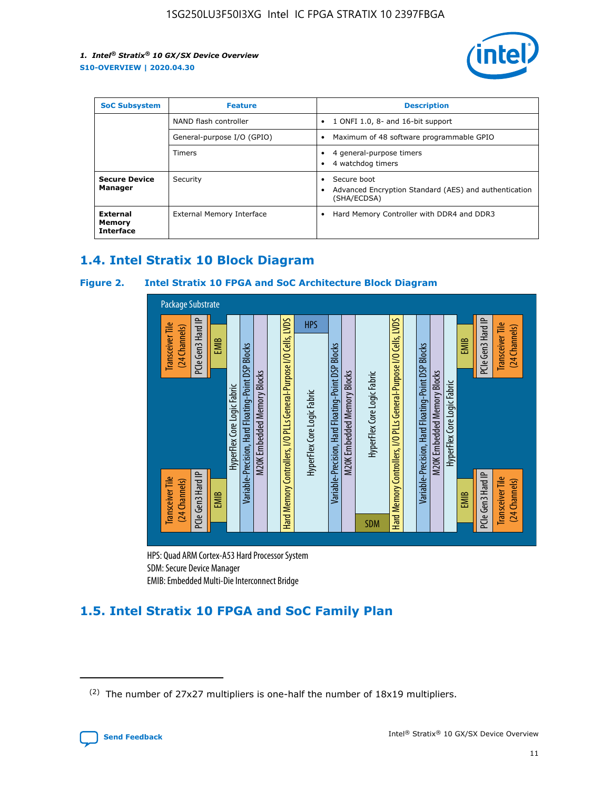

| <b>SoC Subsystem</b>                   | <b>Feature</b>             | <b>Description</b>                                                                               |  |  |
|----------------------------------------|----------------------------|--------------------------------------------------------------------------------------------------|--|--|
|                                        | NAND flash controller      | 1 ONFI 1.0, 8- and 16-bit support<br>٠                                                           |  |  |
|                                        | General-purpose I/O (GPIO) | Maximum of 48 software programmable GPIO<br>٠                                                    |  |  |
|                                        | Timers                     | 4 general-purpose timers<br>4 watchdog timers                                                    |  |  |
| <b>Secure Device</b><br>Manager        | Security                   | Secure boot<br>$\bullet$<br>Advanced Encryption Standard (AES) and authentication<br>(SHA/ECDSA) |  |  |
| External<br>Memory<br><b>Interface</b> | External Memory Interface  | Hard Memory Controller with DDR4 and DDR3<br>$\bullet$                                           |  |  |

## **1.4. Intel Stratix 10 Block Diagram**

## **Figure 2. Intel Stratix 10 FPGA and SoC Architecture Block Diagram**



HPS: Quad ARM Cortex-A53 Hard Processor System SDM: Secure Device Manager

## **1.5. Intel Stratix 10 FPGA and SoC Family Plan**

<sup>(2)</sup> The number of 27x27 multipliers is one-half the number of 18x19 multipliers.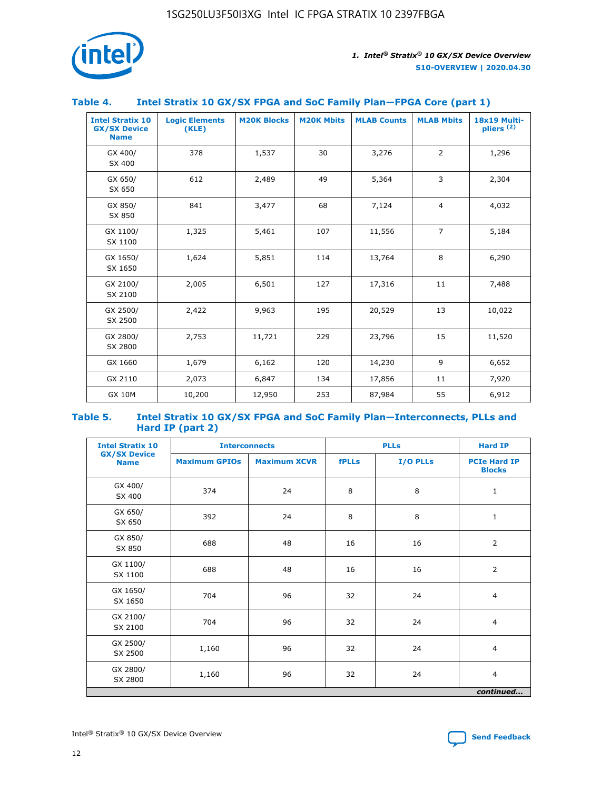

## **Table 4. Intel Stratix 10 GX/SX FPGA and SoC Family Plan—FPGA Core (part 1)**

| <b>Intel Stratix 10</b><br><b>GX/SX Device</b><br><b>Name</b> | <b>Logic Elements</b><br>(KLE) | <b>M20K Blocks</b> | <b>M20K Mbits</b> | <b>MLAB Counts</b> | <b>MLAB Mbits</b> | <b>18x19 Multi-</b><br>pliers <sup>(2)</sup> |
|---------------------------------------------------------------|--------------------------------|--------------------|-------------------|--------------------|-------------------|----------------------------------------------|
| GX 400/<br>SX 400                                             | 378                            | 1,537              | 30                | 3,276              | $\overline{2}$    | 1,296                                        |
| GX 650/<br>SX 650                                             | 612                            | 2,489              | 49                | 5,364              | 3                 | 2,304                                        |
| GX 850/<br>SX 850                                             | 841                            | 3,477              | 68                | 7,124              | $\overline{4}$    | 4,032                                        |
| GX 1100/<br>SX 1100                                           | 1,325                          | 5,461              | 107               | 11,556             | $\overline{7}$    | 5,184                                        |
| GX 1650/<br>SX 1650                                           | 1,624                          | 5,851              | 114               | 13,764             | 8                 | 6,290                                        |
| GX 2100/<br>SX 2100                                           | 2,005                          | 6,501              | 127               | 17,316             | 11                | 7,488                                        |
| GX 2500/<br>SX 2500                                           | 2,422                          | 9,963              | 195               | 20,529             | 13                | 10,022                                       |
| GX 2800/<br>SX 2800                                           | 2,753                          | 11,721             | 229               | 23,796             | 15                | 11,520                                       |
| GX 1660                                                       | 1,679                          | 6,162              | 120               | 14,230             | 9                 | 6,652                                        |
| GX 2110                                                       | 2,073                          | 6,847              | 134               | 17,856             | 11                | 7,920                                        |
| <b>GX 10M</b>                                                 | 10,200                         | 12,950             | 253               | 87,984             | 55                | 6,912                                        |

#### **Table 5. Intel Stratix 10 GX/SX FPGA and SoC Family Plan—Interconnects, PLLs and Hard IP (part 2)**

| <b>Intel Stratix 10</b>            |                      | <b>PLLs</b><br><b>Interconnects</b> |              |          | <b>Hard IP</b>                       |  |
|------------------------------------|----------------------|-------------------------------------|--------------|----------|--------------------------------------|--|
| <b>GX/SX Device</b><br><b>Name</b> | <b>Maximum GPIOs</b> | <b>Maximum XCVR</b>                 | <b>fPLLs</b> | I/O PLLs | <b>PCIe Hard IP</b><br><b>Blocks</b> |  |
| GX 400/<br>SX 400                  | 374                  | 24                                  | 8            | 8        | $\mathbf{1}$                         |  |
| GX 650/<br>SX 650                  | 392                  | 24                                  | 8            | 8        | $\mathbf{1}$                         |  |
| GX 850/<br>SX 850                  | 688                  | 48                                  | 16           | 16       | 2                                    |  |
| GX 1100/<br>SX 1100                | 688                  | 48                                  | 16           | 16       | 2                                    |  |
| GX 1650/<br>SX 1650                | 704                  | 96                                  | 32           | 24       | $\overline{4}$                       |  |
| GX 2100/<br>SX 2100                | 704                  | 96                                  | 32           | 24       | $\overline{4}$                       |  |
| GX 2500/<br>SX 2500                | 1,160                | 96                                  | 32           | 24       | $\overline{4}$                       |  |
| GX 2800/<br>SX 2800                | 1,160                | 96                                  | 32           | 24       | $\overline{4}$                       |  |
| continued                          |                      |                                     |              |          |                                      |  |

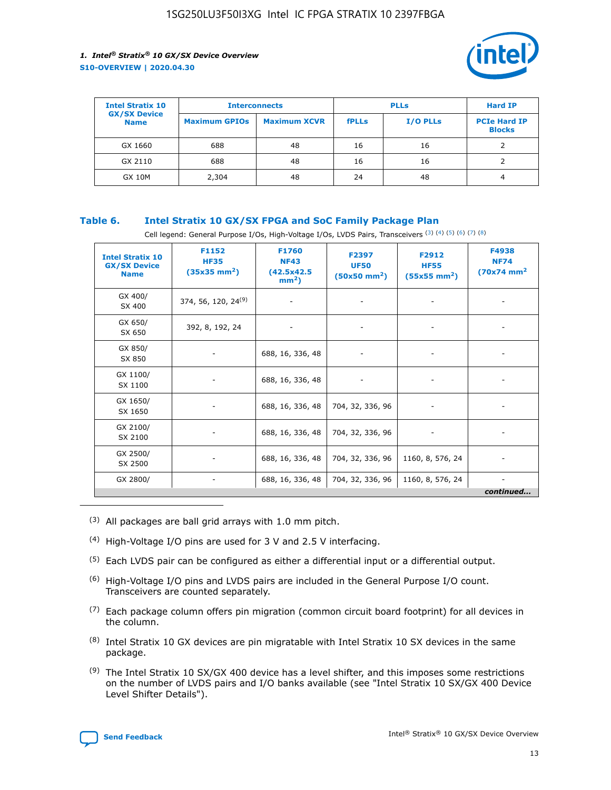

| <b>Intel Stratix 10</b>            | <b>Interconnects</b> |                     |              | <b>Hard IP</b>  |                                      |
|------------------------------------|----------------------|---------------------|--------------|-----------------|--------------------------------------|
| <b>GX/SX Device</b><br><b>Name</b> | <b>Maximum GPIOs</b> | <b>Maximum XCVR</b> | <b>fPLLs</b> | <b>I/O PLLs</b> | <b>PCIe Hard IP</b><br><b>Blocks</b> |
| GX 1660                            | 688                  | 48                  | 16           | 16              |                                      |
| GX 2110                            | 688                  | 48                  | 16           | 16              |                                      |
| <b>GX 10M</b>                      | 2,304                | 48                  | 24           | 48              | 4                                    |

## **Table 6. Intel Stratix 10 GX/SX FPGA and SoC Family Package Plan**

Cell legend: General Purpose I/Os, High-Voltage I/Os, LVDS Pairs, Transceivers (3) (4) (5) (6) (7) (8)

| <b>Intel Stratix 10</b><br><b>GX/SX Device</b><br><b>Name</b> | F1152<br><b>HF35</b><br>$(35x35 \text{ mm}^2)$ | F1760<br><b>NF43</b><br>(42.5x42.5<br>$mm2$ ) | F2397<br><b>UF50</b><br>$(50x50 \text{ mm}^2)$ | F2912<br><b>HF55</b><br>$(55x55$ mm <sup>2</sup> ) | F4938<br><b>NF74</b><br>$(70x74)$ mm <sup>2</sup> |
|---------------------------------------------------------------|------------------------------------------------|-----------------------------------------------|------------------------------------------------|----------------------------------------------------|---------------------------------------------------|
| GX 400/<br>SX 400                                             | 374, 56, 120, 24 <sup>(9)</sup>                | $\overline{\phantom{a}}$                      | $\overline{\phantom{a}}$                       | ۰                                                  |                                                   |
| GX 650/<br>SX 650                                             | 392, 8, 192, 24                                | $\overline{\phantom{a}}$                      | $\overline{\phantom{a}}$                       |                                                    |                                                   |
| GX 850/<br>SX 850                                             | ۰.                                             | 688, 16, 336, 48                              |                                                |                                                    |                                                   |
| GX 1100/<br>SX 1100                                           |                                                | 688, 16, 336, 48                              |                                                |                                                    |                                                   |
| GX 1650/<br>SX 1650                                           |                                                | 688, 16, 336, 48                              | 704, 32, 336, 96                               |                                                    |                                                   |
| GX 2100/<br>SX 2100                                           | -                                              | 688, 16, 336, 48                              | 704, 32, 336, 96                               | $\overline{\phantom{a}}$                           |                                                   |
| GX 2500/<br>SX 2500                                           |                                                | 688, 16, 336, 48                              | 704, 32, 336, 96                               | 1160, 8, 576, 24                                   |                                                   |
| GX 2800/                                                      | -                                              | 688, 16, 336, 48                              | 704, 32, 336, 96                               | 1160, 8, 576, 24                                   | $\overline{\phantom{a}}$<br>continued             |

- (3) All packages are ball grid arrays with 1.0 mm pitch.
- (4) High-Voltage I/O pins are used for 3 V and 2.5 V interfacing.
- $(5)$  Each LVDS pair can be configured as either a differential input or a differential output.
- (6) High-Voltage I/O pins and LVDS pairs are included in the General Purpose I/O count. Transceivers are counted separately.
- $(7)$  Each package column offers pin migration (common circuit board footprint) for all devices in the column.
- $(8)$  Intel Stratix 10 GX devices are pin migratable with Intel Stratix 10 SX devices in the same package.
- $(9)$  The Intel Stratix 10 SX/GX 400 device has a level shifter, and this imposes some restrictions on the number of LVDS pairs and I/O banks available (see "Intel Stratix 10 SX/GX 400 Device Level Shifter Details").

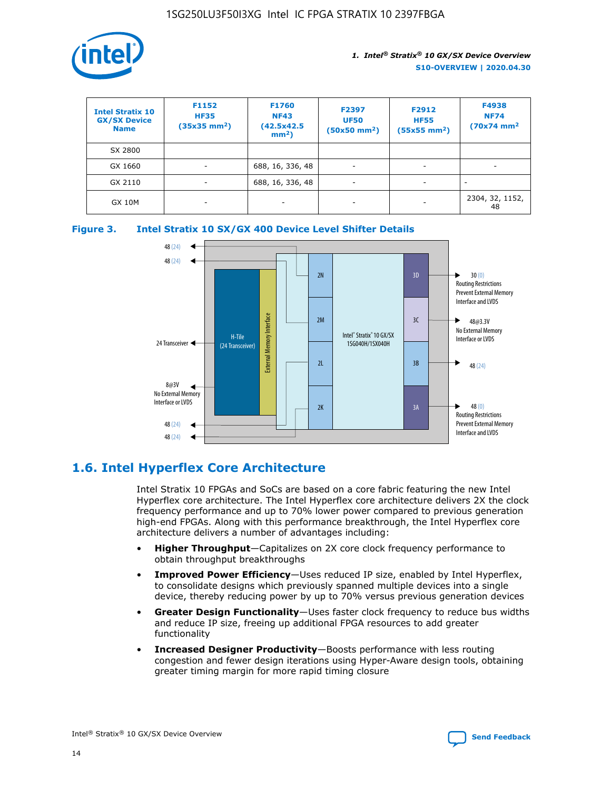

| <b>Intel Stratix 10</b><br><b>GX/SX Device</b><br><b>Name</b> | F1152<br><b>HF35</b><br>$(35x35 \text{ mm}^2)$ | F1760<br><b>NF43</b><br>(42.5x42.5<br>$mm2$ ) | F2397<br><b>UF50</b><br>$(50x50 \text{ mm}^2)$ | F2912<br><b>HF55</b><br>$(55x55$ mm <sup>2</sup> ) | F4938<br><b>NF74</b><br>$(70x74)$ mm <sup>2</sup> |
|---------------------------------------------------------------|------------------------------------------------|-----------------------------------------------|------------------------------------------------|----------------------------------------------------|---------------------------------------------------|
| SX 2800                                                       |                                                |                                               |                                                |                                                    |                                                   |
| GX 1660                                                       | ٠                                              | 688, 16, 336, 48                              | ۰                                              |                                                    |                                                   |
| GX 2110                                                       |                                                | 688, 16, 336, 48                              | $\overline{\phantom{a}}$                       |                                                    |                                                   |
| <b>GX 10M</b>                                                 | ۰                                              | -                                             | -                                              |                                                    | 2304, 32, 1152,<br>48                             |





## **1.6. Intel Hyperflex Core Architecture**

Intel Stratix 10 FPGAs and SoCs are based on a core fabric featuring the new Intel Hyperflex core architecture. The Intel Hyperflex core architecture delivers 2X the clock frequency performance and up to 70% lower power compared to previous generation high-end FPGAs. Along with this performance breakthrough, the Intel Hyperflex core architecture delivers a number of advantages including:

- **Higher Throughput**—Capitalizes on 2X core clock frequency performance to obtain throughput breakthroughs
- **Improved Power Efficiency**—Uses reduced IP size, enabled by Intel Hyperflex, to consolidate designs which previously spanned multiple devices into a single device, thereby reducing power by up to 70% versus previous generation devices
- **Greater Design Functionality**—Uses faster clock frequency to reduce bus widths and reduce IP size, freeing up additional FPGA resources to add greater functionality
- **Increased Designer Productivity**—Boosts performance with less routing congestion and fewer design iterations using Hyper-Aware design tools, obtaining greater timing margin for more rapid timing closure

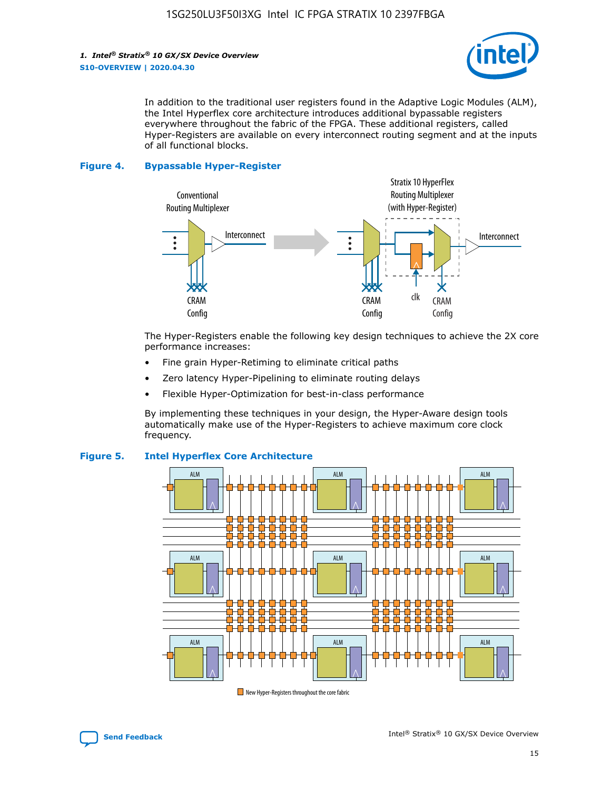

In addition to the traditional user registers found in the Adaptive Logic Modules (ALM), the Intel Hyperflex core architecture introduces additional bypassable registers everywhere throughout the fabric of the FPGA. These additional registers, called Hyper-Registers are available on every interconnect routing segment and at the inputs of all functional blocks.

#### **Figure 4. Bypassable Hyper-Register**



The Hyper-Registers enable the following key design techniques to achieve the 2X core performance increases:

- Fine grain Hyper-Retiming to eliminate critical paths
- Zero latency Hyper-Pipelining to eliminate routing delays
- Flexible Hyper-Optimization for best-in-class performance

By implementing these techniques in your design, the Hyper-Aware design tools automatically make use of the Hyper-Registers to achieve maximum core clock frequency.



## **Figure 5. Intel Hyperflex Core Architecture**

New Hyper-Registers throughout the core fabric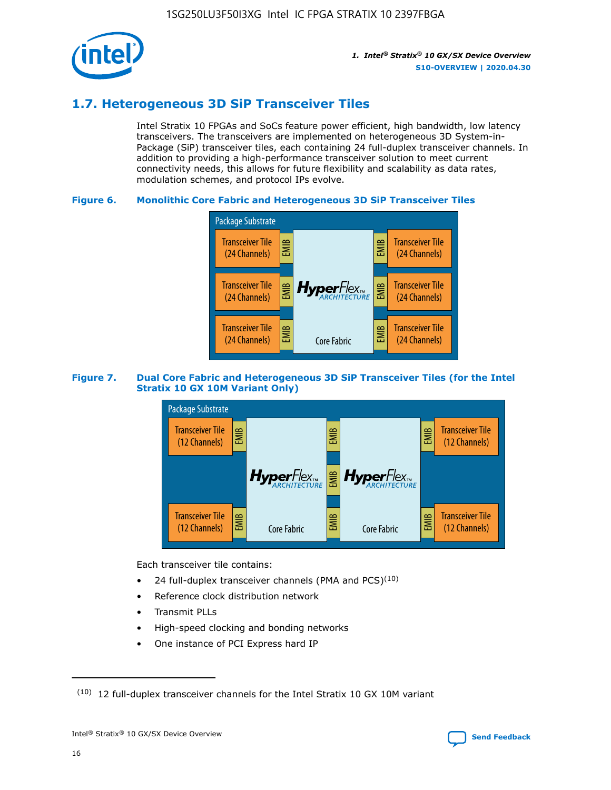

## **1.7. Heterogeneous 3D SiP Transceiver Tiles**

Intel Stratix 10 FPGAs and SoCs feature power efficient, high bandwidth, low latency transceivers. The transceivers are implemented on heterogeneous 3D System-in-Package (SiP) transceiver tiles, each containing 24 full-duplex transceiver channels. In addition to providing a high-performance transceiver solution to meet current connectivity needs, this allows for future flexibility and scalability as data rates, modulation schemes, and protocol IPs evolve.

## **Figure 6. Monolithic Core Fabric and Heterogeneous 3D SiP Transceiver Tiles**



## **Figure 7. Dual Core Fabric and Heterogeneous 3D SiP Transceiver Tiles (for the Intel Stratix 10 GX 10M Variant Only)**



Each transceiver tile contains:

- 24 full-duplex transceiver channels (PMA and PCS) $(10)$
- Reference clock distribution network
- Transmit PLLs
- High-speed clocking and bonding networks
- One instance of PCI Express hard IP

16



 $(10)$  12 full-duplex transceiver channels for the Intel Stratix 10 GX 10M variant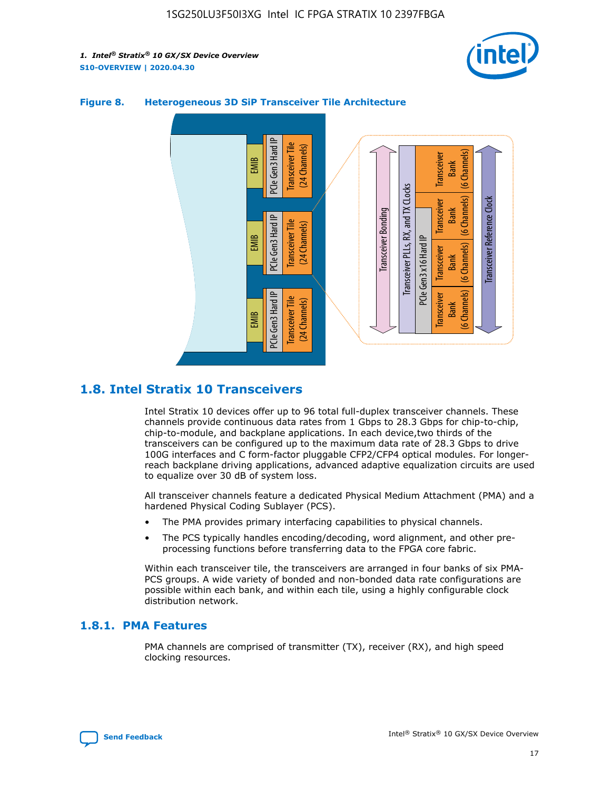



## **Figure 8. Heterogeneous 3D SiP Transceiver Tile Architecture**

## **1.8. Intel Stratix 10 Transceivers**

Intel Stratix 10 devices offer up to 96 total full-duplex transceiver channels. These channels provide continuous data rates from 1 Gbps to 28.3 Gbps for chip-to-chip, chip-to-module, and backplane applications. In each device,two thirds of the transceivers can be configured up to the maximum data rate of 28.3 Gbps to drive 100G interfaces and C form-factor pluggable CFP2/CFP4 optical modules. For longerreach backplane driving applications, advanced adaptive equalization circuits are used to equalize over 30 dB of system loss.

All transceiver channels feature a dedicated Physical Medium Attachment (PMA) and a hardened Physical Coding Sublayer (PCS).

- The PMA provides primary interfacing capabilities to physical channels.
- The PCS typically handles encoding/decoding, word alignment, and other preprocessing functions before transferring data to the FPGA core fabric.

Within each transceiver tile, the transceivers are arranged in four banks of six PMA-PCS groups. A wide variety of bonded and non-bonded data rate configurations are possible within each bank, and within each tile, using a highly configurable clock distribution network.

## **1.8.1. PMA Features**

PMA channels are comprised of transmitter (TX), receiver (RX), and high speed clocking resources.

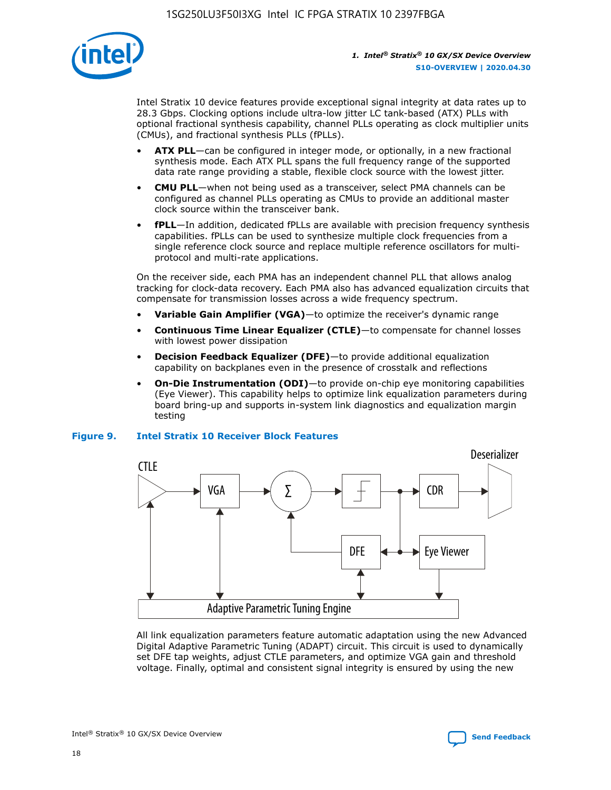

Intel Stratix 10 device features provide exceptional signal integrity at data rates up to 28.3 Gbps. Clocking options include ultra-low jitter LC tank-based (ATX) PLLs with optional fractional synthesis capability, channel PLLs operating as clock multiplier units (CMUs), and fractional synthesis PLLs (fPLLs).

- **ATX PLL**—can be configured in integer mode, or optionally, in a new fractional synthesis mode. Each ATX PLL spans the full frequency range of the supported data rate range providing a stable, flexible clock source with the lowest jitter.
- **CMU PLL**—when not being used as a transceiver, select PMA channels can be configured as channel PLLs operating as CMUs to provide an additional master clock source within the transceiver bank.
- **fPLL**—In addition, dedicated fPLLs are available with precision frequency synthesis capabilities. fPLLs can be used to synthesize multiple clock frequencies from a single reference clock source and replace multiple reference oscillators for multiprotocol and multi-rate applications.

On the receiver side, each PMA has an independent channel PLL that allows analog tracking for clock-data recovery. Each PMA also has advanced equalization circuits that compensate for transmission losses across a wide frequency spectrum.

- **Variable Gain Amplifier (VGA)**—to optimize the receiver's dynamic range
- **Continuous Time Linear Equalizer (CTLE)**—to compensate for channel losses with lowest power dissipation
- **Decision Feedback Equalizer (DFE)**—to provide additional equalization capability on backplanes even in the presence of crosstalk and reflections
- **On-Die Instrumentation (ODI)**—to provide on-chip eye monitoring capabilities (Eye Viewer). This capability helps to optimize link equalization parameters during board bring-up and supports in-system link diagnostics and equalization margin testing

#### **Figure 9. Intel Stratix 10 Receiver Block Features**



All link equalization parameters feature automatic adaptation using the new Advanced Digital Adaptive Parametric Tuning (ADAPT) circuit. This circuit is used to dynamically set DFE tap weights, adjust CTLE parameters, and optimize VGA gain and threshold voltage. Finally, optimal and consistent signal integrity is ensured by using the new



Intel<sup>®</sup> Stratix<sup>®</sup> 10 GX/SX Device Overview **[Send Feedback](mailto:FPGAtechdocfeedback@intel.com?subject=Feedback%20on%20Intel%20Stratix%2010%20GX/SX%20Device%20Overview%20(S10-OVERVIEW%202020.04.30)&body=We%20appreciate%20your%20feedback.%20In%20your%20comments,%20also%20specify%20the%20page%20number%20or%20paragraph.%20Thank%20you.)** Send Feedback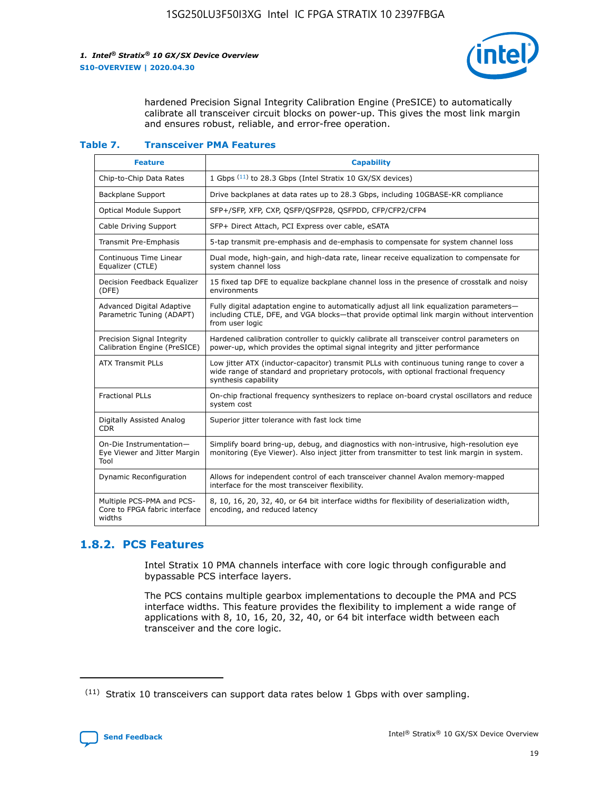

hardened Precision Signal Integrity Calibration Engine (PreSICE) to automatically calibrate all transceiver circuit blocks on power-up. This gives the most link margin and ensures robust, reliable, and error-free operation.

#### **Table 7. Transceiver PMA Features**

| <b>Feature</b>                                                       | <b>Capability</b>                                                                                                                                                                                         |
|----------------------------------------------------------------------|-----------------------------------------------------------------------------------------------------------------------------------------------------------------------------------------------------------|
| Chip-to-Chip Data Rates                                              | 1 Gbps (11) to 28.3 Gbps (Intel Stratix 10 GX/SX devices)                                                                                                                                                 |
| <b>Backplane Support</b>                                             | Drive backplanes at data rates up to 28.3 Gbps, including 10GBASE-KR compliance                                                                                                                           |
| Optical Module Support                                               | SFP+/SFP, XFP, CXP, QSFP/QSFP28, QSFPDD, CFP/CFP2/CFP4                                                                                                                                                    |
| Cable Driving Support                                                | SFP+ Direct Attach, PCI Express over cable, eSATA                                                                                                                                                         |
| <b>Transmit Pre-Emphasis</b>                                         | 5-tap transmit pre-emphasis and de-emphasis to compensate for system channel loss                                                                                                                         |
| Continuous Time Linear<br>Equalizer (CTLE)                           | Dual mode, high-gain, and high-data rate, linear receive equalization to compensate for<br>system channel loss                                                                                            |
| Decision Feedback Equalizer<br>(DFE)                                 | 15 fixed tap DFE to equalize backplane channel loss in the presence of crosstalk and noisy<br>environments                                                                                                |
| Advanced Digital Adaptive<br>Parametric Tuning (ADAPT)               | Fully digital adaptation engine to automatically adjust all link equalization parameters-<br>including CTLE, DFE, and VGA blocks-that provide optimal link margin without intervention<br>from user logic |
| Precision Signal Integrity<br>Calibration Engine (PreSICE)           | Hardened calibration controller to quickly calibrate all transceiver control parameters on<br>power-up, which provides the optimal signal integrity and jitter performance                                |
| <b>ATX Transmit PLLs</b>                                             | Low jitter ATX (inductor-capacitor) transmit PLLs with continuous tuning range to cover a<br>wide range of standard and proprietary protocols, with optional fractional frequency<br>synthesis capability |
| <b>Fractional PLLs</b>                                               | On-chip fractional frequency synthesizers to replace on-board crystal oscillators and reduce<br>system cost                                                                                               |
| Digitally Assisted Analog<br>CDR.                                    | Superior jitter tolerance with fast lock time                                                                                                                                                             |
| On-Die Instrumentation-<br>Eye Viewer and Jitter Margin<br>Tool      | Simplify board bring-up, debug, and diagnostics with non-intrusive, high-resolution eye<br>monitoring (Eye Viewer). Also inject jitter from transmitter to test link margin in system.                    |
| Dynamic Reconfiguration                                              | Allows for independent control of each transceiver channel Avalon memory-mapped<br>interface for the most transceiver flexibility.                                                                        |
| Multiple PCS-PMA and PCS-<br>Core to FPGA fabric interface<br>widths | 8, 10, 16, 20, 32, 40, or 64 bit interface widths for flexibility of deserialization width,<br>encoding, and reduced latency                                                                              |

## **1.8.2. PCS Features**

Intel Stratix 10 PMA channels interface with core logic through configurable and bypassable PCS interface layers.

The PCS contains multiple gearbox implementations to decouple the PMA and PCS interface widths. This feature provides the flexibility to implement a wide range of applications with 8, 10, 16, 20, 32, 40, or 64 bit interface width between each transceiver and the core logic.

 $(11)$  Stratix 10 transceivers can support data rates below 1 Gbps with over sampling.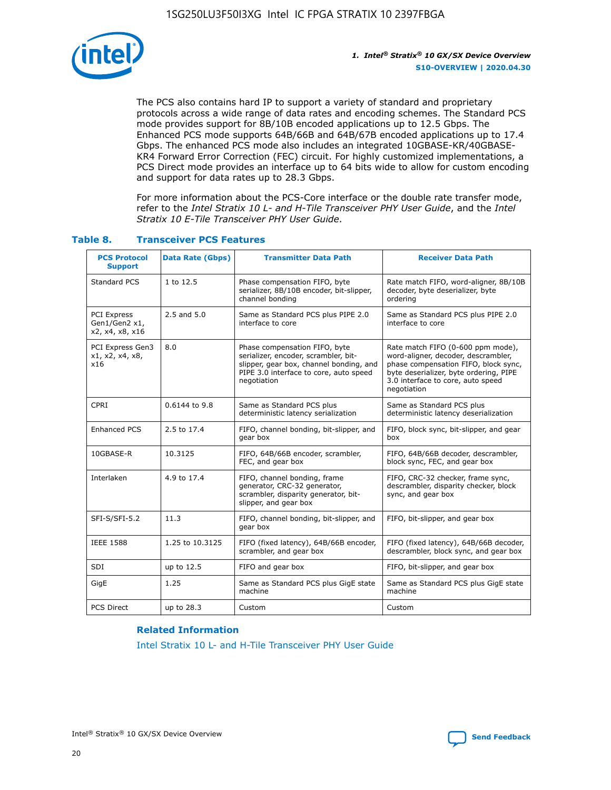

The PCS also contains hard IP to support a variety of standard and proprietary protocols across a wide range of data rates and encoding schemes. The Standard PCS mode provides support for 8B/10B encoded applications up to 12.5 Gbps. The Enhanced PCS mode supports 64B/66B and 64B/67B encoded applications up to 17.4 Gbps. The enhanced PCS mode also includes an integrated 10GBASE-KR/40GBASE-KR4 Forward Error Correction (FEC) circuit. For highly customized implementations, a PCS Direct mode provides an interface up to 64 bits wide to allow for custom encoding and support for data rates up to 28.3 Gbps.

For more information about the PCS-Core interface or the double rate transfer mode, refer to the *Intel Stratix 10 L- and H-Tile Transceiver PHY User Guide*, and the *Intel Stratix 10 E-Tile Transceiver PHY User Guide*.

| <b>PCS Protocol</b><br><b>Support</b>                  | <b>Data Rate (Gbps)</b> | <b>Transmitter Data Path</b>                                                                                                                                              | <b>Receiver Data Path</b>                                                                                                                                                                                      |
|--------------------------------------------------------|-------------------------|---------------------------------------------------------------------------------------------------------------------------------------------------------------------------|----------------------------------------------------------------------------------------------------------------------------------------------------------------------------------------------------------------|
| Standard PCS                                           | 1 to 12.5               | Phase compensation FIFO, byte<br>serializer, 8B/10B encoder, bit-slipper,<br>channel bonding                                                                              | Rate match FIFO, word-aligner, 8B/10B<br>decoder, byte deserializer, byte<br>ordering                                                                                                                          |
| <b>PCI Express</b><br>Gen1/Gen2 x1,<br>x2, x4, x8, x16 | 2.5 and 5.0             | Same as Standard PCS plus PIPE 2.0<br>interface to core                                                                                                                   | Same as Standard PCS plus PIPE 2.0<br>interface to core                                                                                                                                                        |
| PCI Express Gen3<br>x1, x2, x4, x8,<br>x16             | 8.0                     | Phase compensation FIFO, byte<br>serializer, encoder, scrambler, bit-<br>slipper, gear box, channel bonding, and<br>PIPE 3.0 interface to core, auto speed<br>negotiation | Rate match FIFO (0-600 ppm mode),<br>word-aligner, decoder, descrambler,<br>phase compensation FIFO, block sync,<br>byte deserializer, byte ordering, PIPE<br>3.0 interface to core, auto speed<br>negotiation |
| CPRI                                                   | 0.6144 to 9.8           | Same as Standard PCS plus<br>deterministic latency serialization                                                                                                          | Same as Standard PCS plus<br>deterministic latency deserialization                                                                                                                                             |
| <b>Enhanced PCS</b>                                    | 2.5 to 17.4             | FIFO, channel bonding, bit-slipper, and<br>gear box                                                                                                                       | FIFO, block sync, bit-slipper, and gear<br>box                                                                                                                                                                 |
| 10GBASE-R                                              | 10.3125                 | FIFO, 64B/66B encoder, scrambler,<br>FEC, and gear box                                                                                                                    | FIFO, 64B/66B decoder, descrambler,<br>block sync, FEC, and gear box                                                                                                                                           |
| Interlaken                                             | 4.9 to 17.4             | FIFO, channel bonding, frame<br>generator, CRC-32 generator,<br>scrambler, disparity generator, bit-<br>slipper, and gear box                                             | FIFO, CRC-32 checker, frame sync,<br>descrambler, disparity checker, block<br>sync, and gear box                                                                                                               |
| SFI-S/SFI-5.2                                          | 11.3                    | FIFO, channel bonding, bit-slipper, and<br>gear box                                                                                                                       | FIFO, bit-slipper, and gear box                                                                                                                                                                                |
| <b>IEEE 1588</b>                                       | 1.25 to 10.3125         | FIFO (fixed latency), 64B/66B encoder,<br>scrambler, and gear box                                                                                                         | FIFO (fixed latency), 64B/66B decoder,<br>descrambler, block sync, and gear box                                                                                                                                |
| SDI                                                    | up to 12.5              | FIFO and gear box                                                                                                                                                         | FIFO, bit-slipper, and gear box                                                                                                                                                                                |
| GigE                                                   | 1.25                    | Same as Standard PCS plus GigE state<br>machine                                                                                                                           | Same as Standard PCS plus GigE state<br>machine                                                                                                                                                                |
| <b>PCS Direct</b>                                      | up to 28.3              | Custom                                                                                                                                                                    | Custom                                                                                                                                                                                                         |

## **Table 8. Transceiver PCS Features**

#### **Related Information**

[Intel Stratix 10 L- and H-Tile Transceiver PHY User Guide](https://www.altera.com/documentation/wry1479165198810.html)

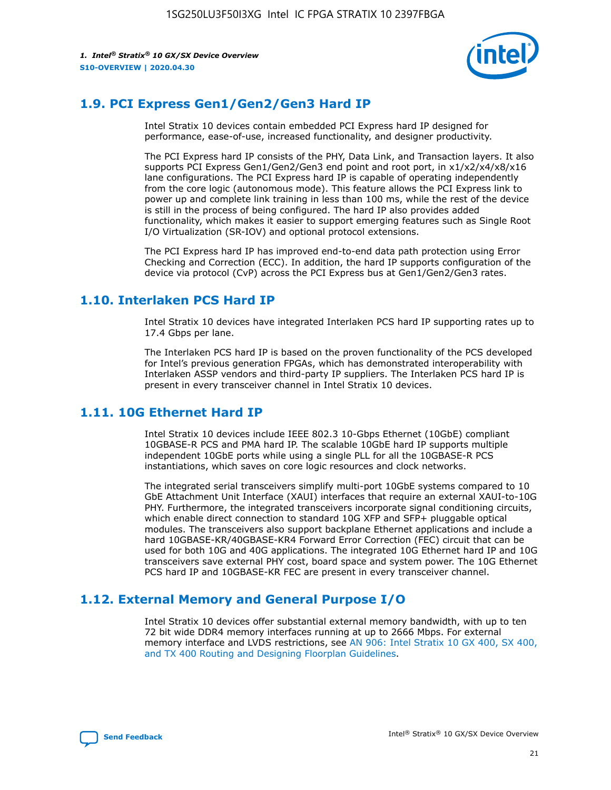

## **1.9. PCI Express Gen1/Gen2/Gen3 Hard IP**

Intel Stratix 10 devices contain embedded PCI Express hard IP designed for performance, ease-of-use, increased functionality, and designer productivity.

The PCI Express hard IP consists of the PHY, Data Link, and Transaction layers. It also supports PCI Express Gen1/Gen2/Gen3 end point and root port, in x1/x2/x4/x8/x16 lane configurations. The PCI Express hard IP is capable of operating independently from the core logic (autonomous mode). This feature allows the PCI Express link to power up and complete link training in less than 100 ms, while the rest of the device is still in the process of being configured. The hard IP also provides added functionality, which makes it easier to support emerging features such as Single Root I/O Virtualization (SR-IOV) and optional protocol extensions.

The PCI Express hard IP has improved end-to-end data path protection using Error Checking and Correction (ECC). In addition, the hard IP supports configuration of the device via protocol (CvP) across the PCI Express bus at Gen1/Gen2/Gen3 rates.

## **1.10. Interlaken PCS Hard IP**

Intel Stratix 10 devices have integrated Interlaken PCS hard IP supporting rates up to 17.4 Gbps per lane.

The Interlaken PCS hard IP is based on the proven functionality of the PCS developed for Intel's previous generation FPGAs, which has demonstrated interoperability with Interlaken ASSP vendors and third-party IP suppliers. The Interlaken PCS hard IP is present in every transceiver channel in Intel Stratix 10 devices.

## **1.11. 10G Ethernet Hard IP**

Intel Stratix 10 devices include IEEE 802.3 10-Gbps Ethernet (10GbE) compliant 10GBASE-R PCS and PMA hard IP. The scalable 10GbE hard IP supports multiple independent 10GbE ports while using a single PLL for all the 10GBASE-R PCS instantiations, which saves on core logic resources and clock networks.

The integrated serial transceivers simplify multi-port 10GbE systems compared to 10 GbE Attachment Unit Interface (XAUI) interfaces that require an external XAUI-to-10G PHY. Furthermore, the integrated transceivers incorporate signal conditioning circuits, which enable direct connection to standard 10G XFP and SFP+ pluggable optical modules. The transceivers also support backplane Ethernet applications and include a hard 10GBASE-KR/40GBASE-KR4 Forward Error Correction (FEC) circuit that can be used for both 10G and 40G applications. The integrated 10G Ethernet hard IP and 10G transceivers save external PHY cost, board space and system power. The 10G Ethernet PCS hard IP and 10GBASE-KR FEC are present in every transceiver channel.

## **1.12. External Memory and General Purpose I/O**

Intel Stratix 10 devices offer substantial external memory bandwidth, with up to ten 72 bit wide DDR4 memory interfaces running at up to 2666 Mbps. For external memory interface and LVDS restrictions, see [AN 906: Intel Stratix 10 GX 400, SX 400,](https://www.intel.com/content/www/us/en/programmable/documentation/sjf1574667190623.html#bft1574667627484) [and TX 400 Routing and Designing Floorplan Guidelines.](https://www.intel.com/content/www/us/en/programmable/documentation/sjf1574667190623.html#bft1574667627484)

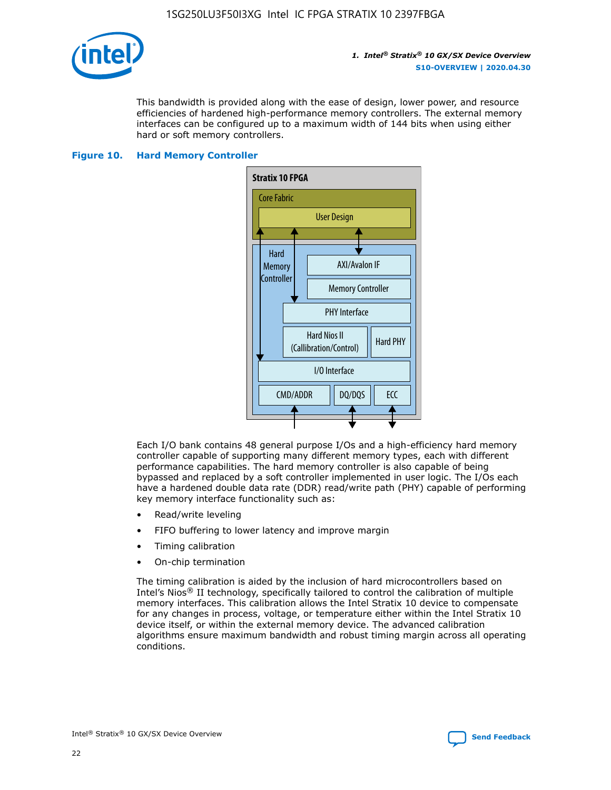

This bandwidth is provided along with the ease of design, lower power, and resource efficiencies of hardened high-performance memory controllers. The external memory interfaces can be configured up to a maximum width of 144 bits when using either hard or soft memory controllers.

#### **Figure 10. Hard Memory Controller**



Each I/O bank contains 48 general purpose I/Os and a high-efficiency hard memory controller capable of supporting many different memory types, each with different performance capabilities. The hard memory controller is also capable of being bypassed and replaced by a soft controller implemented in user logic. The I/Os each have a hardened double data rate (DDR) read/write path (PHY) capable of performing key memory interface functionality such as:

- Read/write leveling
- FIFO buffering to lower latency and improve margin
- Timing calibration
- On-chip termination

The timing calibration is aided by the inclusion of hard microcontrollers based on Intel's Nios® II technology, specifically tailored to control the calibration of multiple memory interfaces. This calibration allows the Intel Stratix 10 device to compensate for any changes in process, voltage, or temperature either within the Intel Stratix 10 device itself, or within the external memory device. The advanced calibration algorithms ensure maximum bandwidth and robust timing margin across all operating conditions.

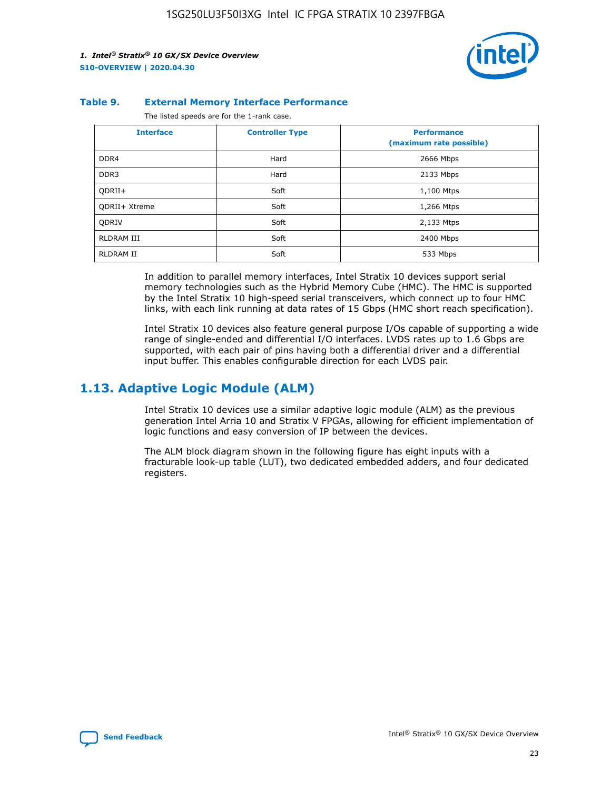

#### **Table 9. External Memory Interface Performance**

The listed speeds are for the 1-rank case.

| <b>Interface</b> | <b>Controller Type</b> | <b>Performance</b><br>(maximum rate possible) |
|------------------|------------------------|-----------------------------------------------|
| DDR4             | Hard                   | 2666 Mbps                                     |
| DDR <sub>3</sub> | Hard                   | 2133 Mbps                                     |
| QDRII+           | Soft                   | 1,100 Mtps                                    |
| QDRII+ Xtreme    | Soft                   | 1,266 Mtps                                    |
| <b>ODRIV</b>     | Soft                   | 2,133 Mtps                                    |
| RLDRAM III       | Soft                   | 2400 Mbps                                     |
| <b>RLDRAM II</b> | Soft                   | 533 Mbps                                      |

In addition to parallel memory interfaces, Intel Stratix 10 devices support serial memory technologies such as the Hybrid Memory Cube (HMC). The HMC is supported by the Intel Stratix 10 high-speed serial transceivers, which connect up to four HMC links, with each link running at data rates of 15 Gbps (HMC short reach specification).

Intel Stratix 10 devices also feature general purpose I/Os capable of supporting a wide range of single-ended and differential I/O interfaces. LVDS rates up to 1.6 Gbps are supported, with each pair of pins having both a differential driver and a differential input buffer. This enables configurable direction for each LVDS pair.

## **1.13. Adaptive Logic Module (ALM)**

Intel Stratix 10 devices use a similar adaptive logic module (ALM) as the previous generation Intel Arria 10 and Stratix V FPGAs, allowing for efficient implementation of logic functions and easy conversion of IP between the devices.

The ALM block diagram shown in the following figure has eight inputs with a fracturable look-up table (LUT), two dedicated embedded adders, and four dedicated registers.

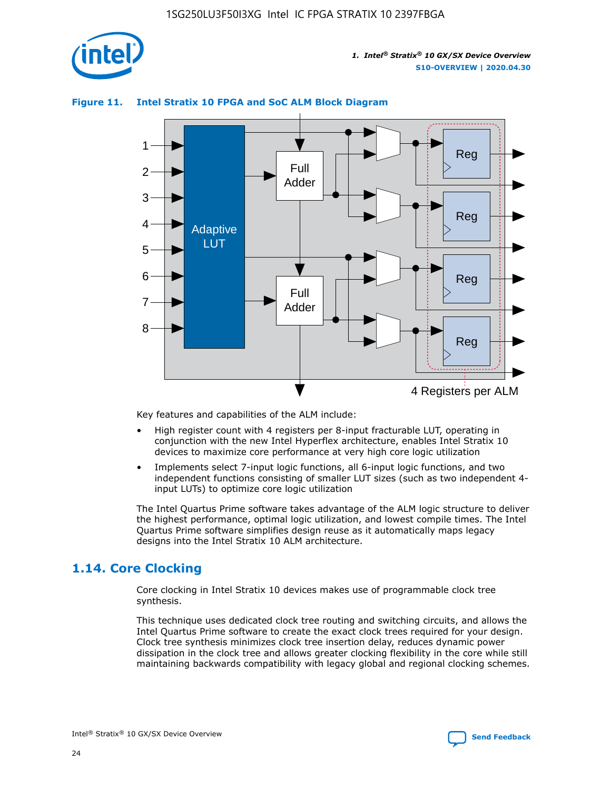

## **Figure 11. Intel Stratix 10 FPGA and SoC ALM Block Diagram**



Key features and capabilities of the ALM include:

- High register count with 4 registers per 8-input fracturable LUT, operating in conjunction with the new Intel Hyperflex architecture, enables Intel Stratix 10 devices to maximize core performance at very high core logic utilization
- Implements select 7-input logic functions, all 6-input logic functions, and two independent functions consisting of smaller LUT sizes (such as two independent 4 input LUTs) to optimize core logic utilization

The Intel Quartus Prime software takes advantage of the ALM logic structure to deliver the highest performance, optimal logic utilization, and lowest compile times. The Intel Quartus Prime software simplifies design reuse as it automatically maps legacy designs into the Intel Stratix 10 ALM architecture.

## **1.14. Core Clocking**

Core clocking in Intel Stratix 10 devices makes use of programmable clock tree synthesis.

This technique uses dedicated clock tree routing and switching circuits, and allows the Intel Quartus Prime software to create the exact clock trees required for your design. Clock tree synthesis minimizes clock tree insertion delay, reduces dynamic power dissipation in the clock tree and allows greater clocking flexibility in the core while still maintaining backwards compatibility with legacy global and regional clocking schemes.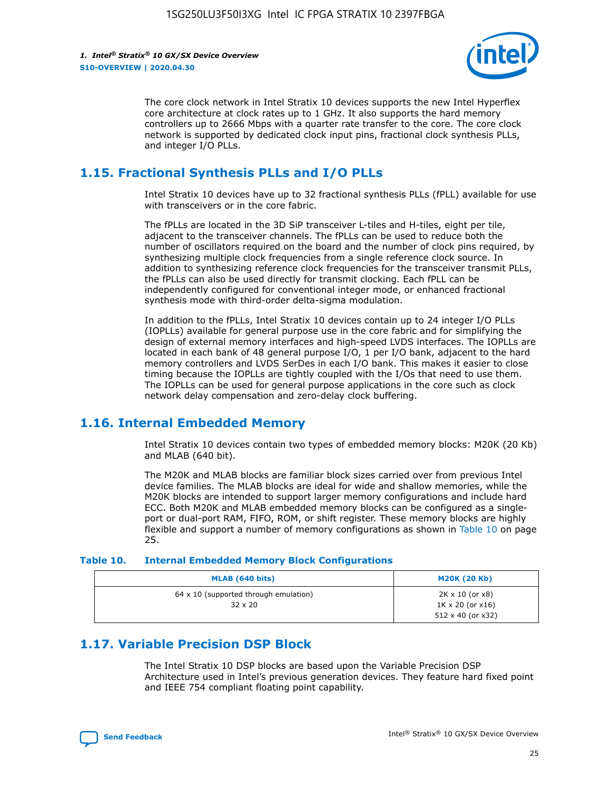

The core clock network in Intel Stratix 10 devices supports the new Intel Hyperflex core architecture at clock rates up to 1 GHz. It also supports the hard memory controllers up to 2666 Mbps with a quarter rate transfer to the core. The core clock network is supported by dedicated clock input pins, fractional clock synthesis PLLs, and integer I/O PLLs.

## **1.15. Fractional Synthesis PLLs and I/O PLLs**

Intel Stratix 10 devices have up to 32 fractional synthesis PLLs (fPLL) available for use with transceivers or in the core fabric.

The fPLLs are located in the 3D SiP transceiver L-tiles and H-tiles, eight per tile, adjacent to the transceiver channels. The fPLLs can be used to reduce both the number of oscillators required on the board and the number of clock pins required, by synthesizing multiple clock frequencies from a single reference clock source. In addition to synthesizing reference clock frequencies for the transceiver transmit PLLs, the fPLLs can also be used directly for transmit clocking. Each fPLL can be independently configured for conventional integer mode, or enhanced fractional synthesis mode with third-order delta-sigma modulation.

In addition to the fPLLs, Intel Stratix 10 devices contain up to 24 integer I/O PLLs (IOPLLs) available for general purpose use in the core fabric and for simplifying the design of external memory interfaces and high-speed LVDS interfaces. The IOPLLs are located in each bank of 48 general purpose I/O, 1 per I/O bank, adjacent to the hard memory controllers and LVDS SerDes in each I/O bank. This makes it easier to close timing because the IOPLLs are tightly coupled with the I/Os that need to use them. The IOPLLs can be used for general purpose applications in the core such as clock network delay compensation and zero-delay clock buffering.

## **1.16. Internal Embedded Memory**

Intel Stratix 10 devices contain two types of embedded memory blocks: M20K (20 Kb) and MLAB (640 bit).

The M20K and MLAB blocks are familiar block sizes carried over from previous Intel device families. The MLAB blocks are ideal for wide and shallow memories, while the M20K blocks are intended to support larger memory configurations and include hard ECC. Both M20K and MLAB embedded memory blocks can be configured as a singleport or dual-port RAM, FIFO, ROM, or shift register. These memory blocks are highly flexible and support a number of memory configurations as shown in Table 10 on page 25.

#### **Table 10. Internal Embedded Memory Block Configurations**

| MLAB (640 bits)                                                | <b>M20K (20 Kb)</b>                                                                    |
|----------------------------------------------------------------|----------------------------------------------------------------------------------------|
| $64 \times 10$ (supported through emulation)<br>$32 \times 20$ | $2K \times 10$ (or $x8$ )<br>$1K \times 20$ (or $x16$ )<br>$512 \times 40$ (or $x32$ ) |

## **1.17. Variable Precision DSP Block**

The Intel Stratix 10 DSP blocks are based upon the Variable Precision DSP Architecture used in Intel's previous generation devices. They feature hard fixed point and IEEE 754 compliant floating point capability.

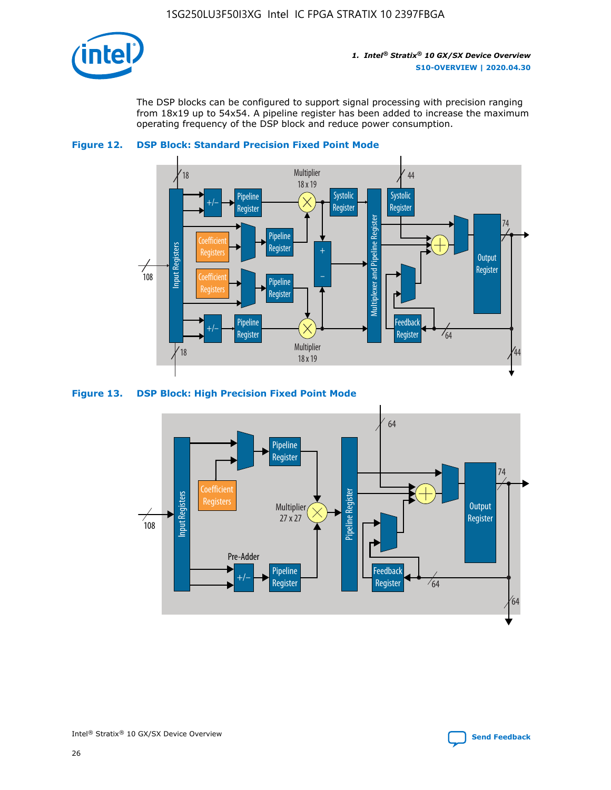

The DSP blocks can be configured to support signal processing with precision ranging from 18x19 up to 54x54. A pipeline register has been added to increase the maximum operating frequency of the DSP block and reduce power consumption.





#### **Figure 13. DSP Block: High Precision Fixed Point Mode**

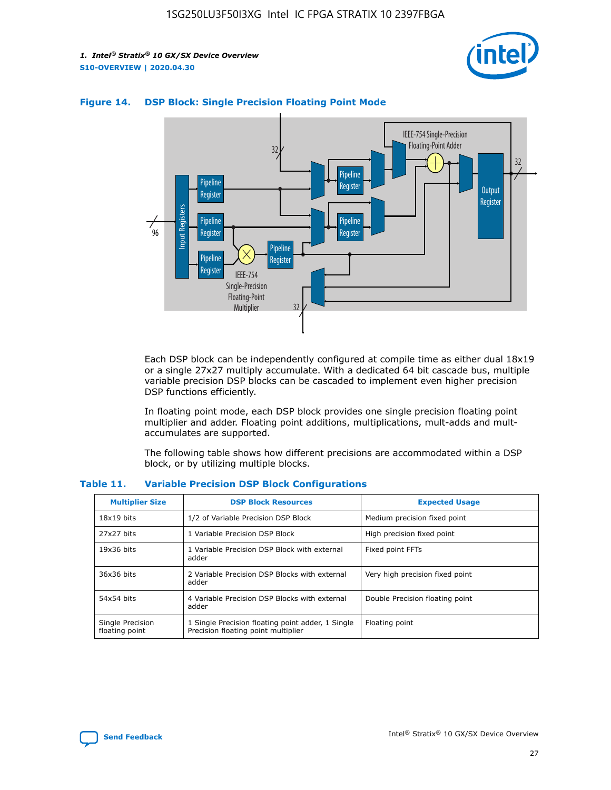



## **Figure 14. DSP Block: Single Precision Floating Point Mode**

Each DSP block can be independently configured at compile time as either dual 18x19 or a single 27x27 multiply accumulate. With a dedicated 64 bit cascade bus, multiple variable precision DSP blocks can be cascaded to implement even higher precision DSP functions efficiently.

In floating point mode, each DSP block provides one single precision floating point multiplier and adder. Floating point additions, multiplications, mult-adds and multaccumulates are supported.

The following table shows how different precisions are accommodated within a DSP block, or by utilizing multiple blocks.

| <b>Multiplier Size</b>             | <b>DSP Block Resources</b>                                                               | <b>Expected Usage</b>           |
|------------------------------------|------------------------------------------------------------------------------------------|---------------------------------|
| $18x19$ bits                       | 1/2 of Variable Precision DSP Block                                                      | Medium precision fixed point    |
| 27x27 bits                         | 1 Variable Precision DSP Block                                                           | High precision fixed point      |
| $19x36$ bits                       | 1 Variable Precision DSP Block with external<br>adder                                    | Fixed point FFTs                |
| 36x36 bits                         | 2 Variable Precision DSP Blocks with external<br>adder                                   | Very high precision fixed point |
| 54x54 bits                         | 4 Variable Precision DSP Blocks with external<br>adder                                   | Double Precision floating point |
| Single Precision<br>floating point | 1 Single Precision floating point adder, 1 Single<br>Precision floating point multiplier | Floating point                  |

#### **Table 11. Variable Precision DSP Block Configurations**

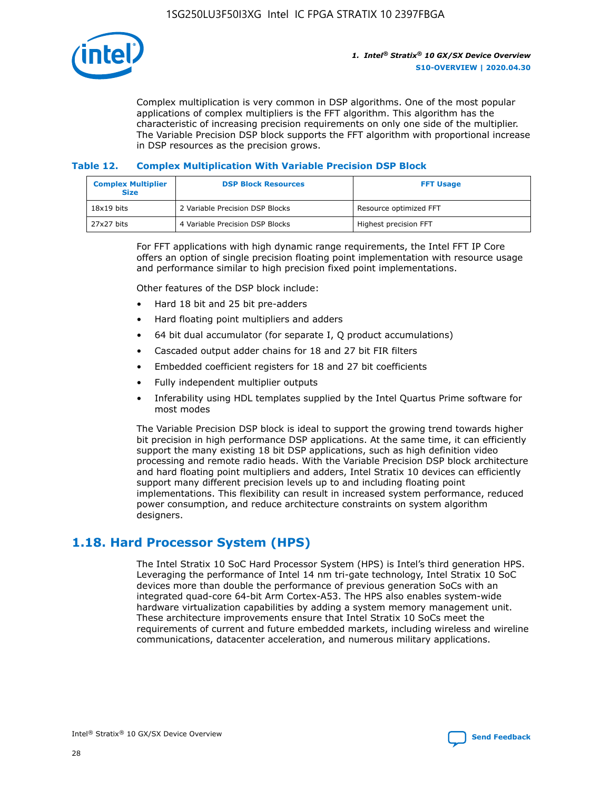

Complex multiplication is very common in DSP algorithms. One of the most popular applications of complex multipliers is the FFT algorithm. This algorithm has the characteristic of increasing precision requirements on only one side of the multiplier. The Variable Precision DSP block supports the FFT algorithm with proportional increase in DSP resources as the precision grows.

## **Table 12. Complex Multiplication With Variable Precision DSP Block**

| <b>Complex Multiplier</b><br><b>Size</b> | <b>DSP Block Resources</b>      | <b>FFT Usage</b>       |
|------------------------------------------|---------------------------------|------------------------|
| $18x19$ bits                             | 2 Variable Precision DSP Blocks | Resource optimized FFT |
| 27x27 bits                               | 4 Variable Precision DSP Blocks | Highest precision FFT  |

For FFT applications with high dynamic range requirements, the Intel FFT IP Core offers an option of single precision floating point implementation with resource usage and performance similar to high precision fixed point implementations.

Other features of the DSP block include:

- Hard 18 bit and 25 bit pre-adders
- Hard floating point multipliers and adders
- 64 bit dual accumulator (for separate I, Q product accumulations)
- Cascaded output adder chains for 18 and 27 bit FIR filters
- Embedded coefficient registers for 18 and 27 bit coefficients
- Fully independent multiplier outputs
- Inferability using HDL templates supplied by the Intel Quartus Prime software for most modes

The Variable Precision DSP block is ideal to support the growing trend towards higher bit precision in high performance DSP applications. At the same time, it can efficiently support the many existing 18 bit DSP applications, such as high definition video processing and remote radio heads. With the Variable Precision DSP block architecture and hard floating point multipliers and adders, Intel Stratix 10 devices can efficiently support many different precision levels up to and including floating point implementations. This flexibility can result in increased system performance, reduced power consumption, and reduce architecture constraints on system algorithm designers.

## **1.18. Hard Processor System (HPS)**

The Intel Stratix 10 SoC Hard Processor System (HPS) is Intel's third generation HPS. Leveraging the performance of Intel 14 nm tri-gate technology, Intel Stratix 10 SoC devices more than double the performance of previous generation SoCs with an integrated quad-core 64-bit Arm Cortex-A53. The HPS also enables system-wide hardware virtualization capabilities by adding a system memory management unit. These architecture improvements ensure that Intel Stratix 10 SoCs meet the requirements of current and future embedded markets, including wireless and wireline communications, datacenter acceleration, and numerous military applications.

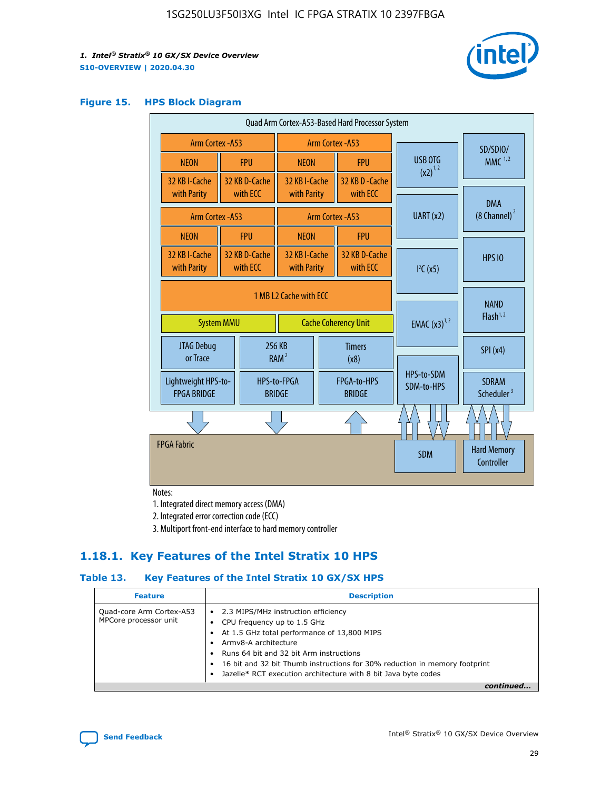

#### **Figure 15. HPS Block Diagram**

| Quad Arm Cortex-A53-Based Hard Processor System                            |                                             |                           |                                           |                                     |                              |                          |                                        |
|----------------------------------------------------------------------------|---------------------------------------------|---------------------------|-------------------------------------------|-------------------------------------|------------------------------|--------------------------|----------------------------------------|
|                                                                            | <b>Arm Cortex - A53</b><br>Arm Cortex - A53 |                           |                                           |                                     |                              | SD/SDIO/                 |                                        |
| <b>NEON</b>                                                                |                                             | <b>FPU</b>                | <b>NEON</b>                               |                                     | <b>FPU</b>                   | USB OTG                  | MMC $1,2$                              |
| 32 KB I-Cache<br>with Parity                                               |                                             | 32 KB D-Cache<br>with ECC | 32 KB I-Cache<br>with Parity              |                                     | 32 KB D - Cache<br>with ECC  | $(x2)^{1,2}$             |                                        |
|                                                                            | Arm Cortex - A53                            |                           |                                           |                                     | Arm Cortex - A53             | UART (x2)                | <b>DMA</b><br>$(8 \text{ Channel})^2$  |
| <b>NEON</b>                                                                |                                             | <b>FPU</b>                | <b>NEON</b>                               |                                     | <b>FPU</b>                   |                          |                                        |
| 32 KB I-Cache<br>with Parity                                               |                                             | 32 KB D-Cache<br>with ECC | 32 KB I-Cache<br>with Parity              |                                     | 32 KB D-Cache<br>with ECC    | I <sup>2</sup> C(x5)     | <b>HPS 10</b>                          |
| 1 MB L2 Cache with ECC<br><b>Cache Coherency Unit</b><br><b>System MMU</b> |                                             |                           | <b>EMAC</b> $(x3)^{1,2}$                  | <b>NAND</b><br>Flash <sup>1,2</sup> |                              |                          |                                        |
| JTAG Debug<br>or Trace                                                     |                                             | 256 KB                    | <b>Timers</b><br>RAM <sup>2</sup><br>(x8) |                                     |                              |                          | SPI(x4)                                |
| Lightweight HPS-to-<br><b>FPGA BRIDGE</b>                                  |                                             |                           | HPS-to-FPGA<br><b>BRIDGE</b>              |                                     | FPGA-to-HPS<br><b>BRIDGE</b> | HPS-to-SDM<br>SDM-to-HPS | <b>SDRAM</b><br>Scheduler <sup>3</sup> |
|                                                                            |                                             |                           |                                           |                                     |                              |                          |                                        |
| <b>FPGA Fabric</b>                                                         |                                             |                           |                                           |                                     |                              | <b>SDM</b>               | <b>Hard Memory</b><br>Controller       |

Notes:

1. Integrated direct memory access (DMA)

2. Integrated error correction code (ECC)

3. Multiport front-end interface to hard memory controller

## **1.18.1. Key Features of the Intel Stratix 10 HPS**

## **Table 13. Key Features of the Intel Stratix 10 GX/SX HPS**

| <b>Feature</b>                                    | <b>Description</b>                                                                                                                                                                                                                                                                                                                          |
|---------------------------------------------------|---------------------------------------------------------------------------------------------------------------------------------------------------------------------------------------------------------------------------------------------------------------------------------------------------------------------------------------------|
| Quad-core Arm Cortex-A53<br>MPCore processor unit | • 2.3 MIPS/MHz instruction efficiency<br>CPU frequency up to 1.5 GHz<br>٠<br>At 1.5 GHz total performance of 13,800 MIPS<br>Army8-A architecture<br>Runs 64 bit and 32 bit Arm instructions<br>16 bit and 32 bit Thumb instructions for 30% reduction in memory footprint<br>Jazelle* RCT execution architecture with 8 bit Java byte codes |
|                                                   |                                                                                                                                                                                                                                                                                                                                             |

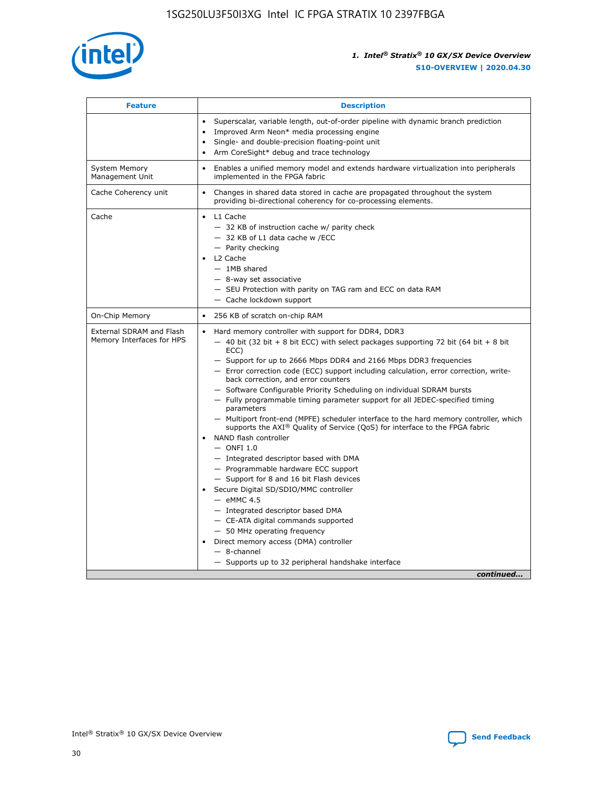

| <b>Feature</b>                                        | <b>Description</b>                                                                                                                                                                                                                                                                                                                                                                                                                                                                                                                                                                                                                                                                                                                                                                                                                                                                                                                                                                                                                                                                                                                                                                                                       |  |
|-------------------------------------------------------|--------------------------------------------------------------------------------------------------------------------------------------------------------------------------------------------------------------------------------------------------------------------------------------------------------------------------------------------------------------------------------------------------------------------------------------------------------------------------------------------------------------------------------------------------------------------------------------------------------------------------------------------------------------------------------------------------------------------------------------------------------------------------------------------------------------------------------------------------------------------------------------------------------------------------------------------------------------------------------------------------------------------------------------------------------------------------------------------------------------------------------------------------------------------------------------------------------------------------|--|
|                                                       | Superscalar, variable length, out-of-order pipeline with dynamic branch prediction<br>Improved Arm Neon* media processing engine<br>$\bullet$<br>Single- and double-precision floating-point unit<br>Arm CoreSight* debug and trace technology<br>$\bullet$                                                                                                                                                                                                                                                                                                                                                                                                                                                                                                                                                                                                                                                                                                                                                                                                                                                                                                                                                              |  |
| <b>System Memory</b><br>Management Unit               | Enables a unified memory model and extends hardware virtualization into peripherals<br>implemented in the FPGA fabric                                                                                                                                                                                                                                                                                                                                                                                                                                                                                                                                                                                                                                                                                                                                                                                                                                                                                                                                                                                                                                                                                                    |  |
| Cache Coherency unit                                  | Changes in shared data stored in cache are propagated throughout the system<br>$\bullet$<br>providing bi-directional coherency for co-processing elements.                                                                                                                                                                                                                                                                                                                                                                                                                                                                                                                                                                                                                                                                                                                                                                                                                                                                                                                                                                                                                                                               |  |
| Cache                                                 | L1 Cache<br>$\bullet$<br>- 32 KB of instruction cache w/ parity check<br>- 32 KB of L1 data cache w /ECC<br>- Parity checking<br>L <sub>2</sub> Cache<br>- 1MB shared<br>- 8-way set associative<br>- SEU Protection with parity on TAG ram and ECC on data RAM<br>- Cache lockdown support                                                                                                                                                                                                                                                                                                                                                                                                                                                                                                                                                                                                                                                                                                                                                                                                                                                                                                                              |  |
| On-Chip Memory                                        | 256 KB of scratch on-chip RAM                                                                                                                                                                                                                                                                                                                                                                                                                                                                                                                                                                                                                                                                                                                                                                                                                                                                                                                                                                                                                                                                                                                                                                                            |  |
| External SDRAM and Flash<br>Memory Interfaces for HPS | Hard memory controller with support for DDR4, DDR3<br>$\bullet$<br>$-$ 40 bit (32 bit + 8 bit ECC) with select packages supporting 72 bit (64 bit + 8 bit<br>ECC)<br>- Support for up to 2666 Mbps DDR4 and 2166 Mbps DDR3 frequencies<br>- Error correction code (ECC) support including calculation, error correction, write-<br>back correction, and error counters<br>- Software Configurable Priority Scheduling on individual SDRAM bursts<br>- Fully programmable timing parameter support for all JEDEC-specified timing<br>parameters<br>- Multiport front-end (MPFE) scheduler interface to the hard memory controller, which<br>supports the $AXI^{\circledR}$ Quality of Service (QoS) for interface to the FPGA fabric<br>NAND flash controller<br>$-$ ONFI 1.0<br>- Integrated descriptor based with DMA<br>- Programmable hardware ECC support<br>- Support for 8 and 16 bit Flash devices<br>Secure Digital SD/SDIO/MMC controller<br>$-$ eMMC 4.5<br>- Integrated descriptor based DMA<br>- CE-ATA digital commands supported<br>- 50 MHz operating frequency<br>Direct memory access (DMA) controller<br>$\bullet$<br>$-$ 8-channel<br>- Supports up to 32 peripheral handshake interface<br>continued |  |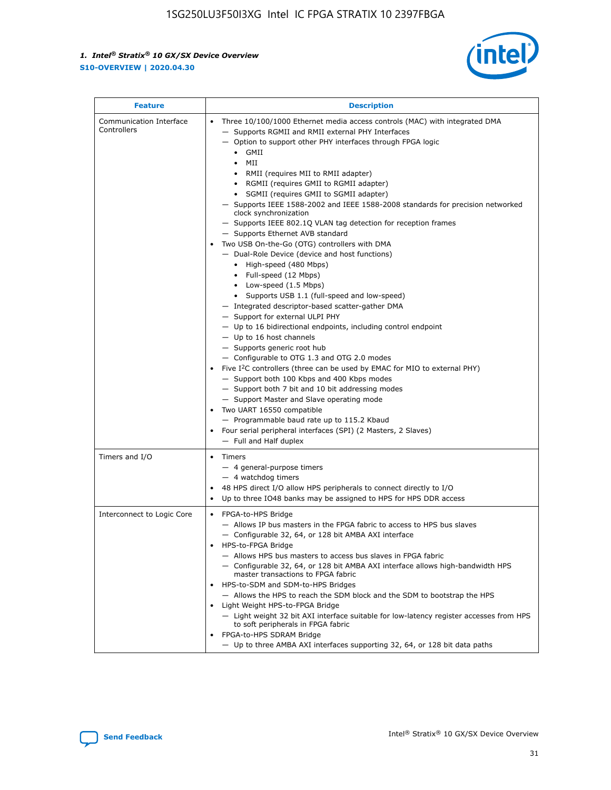

| <b>Feature</b>                         | <b>Description</b>                                                                                                                                                                                                                                                                                                                                                                                                                                                                                                                                                                                                                                                                                                                                                                                                                                                                                                                                                                                                                                                                                                                                                                                                                                                                                                                                                                                                                                                                                                     |
|----------------------------------------|------------------------------------------------------------------------------------------------------------------------------------------------------------------------------------------------------------------------------------------------------------------------------------------------------------------------------------------------------------------------------------------------------------------------------------------------------------------------------------------------------------------------------------------------------------------------------------------------------------------------------------------------------------------------------------------------------------------------------------------------------------------------------------------------------------------------------------------------------------------------------------------------------------------------------------------------------------------------------------------------------------------------------------------------------------------------------------------------------------------------------------------------------------------------------------------------------------------------------------------------------------------------------------------------------------------------------------------------------------------------------------------------------------------------------------------------------------------------------------------------------------------------|
| Communication Interface<br>Controllers | Three 10/100/1000 Ethernet media access controls (MAC) with integrated DMA<br>$\bullet$<br>- Supports RGMII and RMII external PHY Interfaces<br>- Option to support other PHY interfaces through FPGA logic<br>$\bullet$ GMII<br>MII<br>$\bullet$<br>RMII (requires MII to RMII adapter)<br>$\bullet$<br>• RGMII (requires GMII to RGMII adapter)<br>SGMII (requires GMII to SGMII adapter)<br>- Supports IEEE 1588-2002 and IEEE 1588-2008 standards for precision networked<br>clock synchronization<br>- Supports IEEE 802.1Q VLAN tag detection for reception frames<br>- Supports Ethernet AVB standard<br>Two USB On-the-Go (OTG) controllers with DMA<br>- Dual-Role Device (device and host functions)<br>• High-speed (480 Mbps)<br>• Full-speed (12 Mbps)<br>• Low-speed (1.5 Mbps)<br>• Supports USB 1.1 (full-speed and low-speed)<br>- Integrated descriptor-based scatter-gather DMA<br>- Support for external ULPI PHY<br>- Up to 16 bidirectional endpoints, including control endpoint<br>$-$ Up to 16 host channels<br>- Supports generic root hub<br>- Configurable to OTG 1.3 and OTG 2.0 modes<br>Five $I2C$ controllers (three can be used by EMAC for MIO to external PHY)<br>- Support both 100 Kbps and 400 Kbps modes<br>- Support both 7 bit and 10 bit addressing modes<br>- Support Master and Slave operating mode<br>Two UART 16550 compatible<br>- Programmable baud rate up to 115.2 Kbaud<br>Four serial peripheral interfaces (SPI) (2 Masters, 2 Slaves)<br>- Full and Half duplex |
| Timers and I/O                         | Timers<br>$\bullet$<br>- 4 general-purpose timers<br>$-4$ watchdog timers<br>48 HPS direct I/O allow HPS peripherals to connect directly to I/O<br>Up to three IO48 banks may be assigned to HPS for HPS DDR access                                                                                                                                                                                                                                                                                                                                                                                                                                                                                                                                                                                                                                                                                                                                                                                                                                                                                                                                                                                                                                                                                                                                                                                                                                                                                                    |
| Interconnect to Logic Core             | • FPGA-to-HPS Bridge<br>- Allows IP bus masters in the FPGA fabric to access to HPS bus slaves<br>- Configurable 32, 64, or 128 bit AMBA AXI interface<br>HPS-to-FPGA Bridge<br>- Allows HPS bus masters to access bus slaves in FPGA fabric<br>- Configurable 32, 64, or 128 bit AMBA AXI interface allows high-bandwidth HPS<br>master transactions to FPGA fabric<br>HPS-to-SDM and SDM-to-HPS Bridges<br>- Allows the HPS to reach the SDM block and the SDM to bootstrap the HPS<br>Light Weight HPS-to-FPGA Bridge<br>- Light weight 32 bit AXI interface suitable for low-latency register accesses from HPS<br>to soft peripherals in FPGA fabric<br>FPGA-to-HPS SDRAM Bridge<br>- Up to three AMBA AXI interfaces supporting 32, 64, or 128 bit data paths                                                                                                                                                                                                                                                                                                                                                                                                                                                                                                                                                                                                                                                                                                                                                    |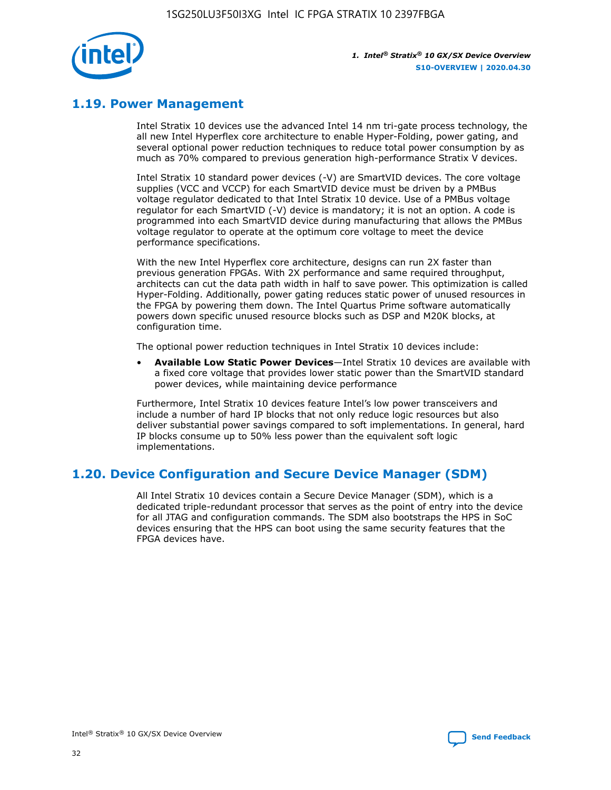

## **1.19. Power Management**

Intel Stratix 10 devices use the advanced Intel 14 nm tri-gate process technology, the all new Intel Hyperflex core architecture to enable Hyper-Folding, power gating, and several optional power reduction techniques to reduce total power consumption by as much as 70% compared to previous generation high-performance Stratix V devices.

Intel Stratix 10 standard power devices (-V) are SmartVID devices. The core voltage supplies (VCC and VCCP) for each SmartVID device must be driven by a PMBus voltage regulator dedicated to that Intel Stratix 10 device. Use of a PMBus voltage regulator for each SmartVID (-V) device is mandatory; it is not an option. A code is programmed into each SmartVID device during manufacturing that allows the PMBus voltage regulator to operate at the optimum core voltage to meet the device performance specifications.

With the new Intel Hyperflex core architecture, designs can run 2X faster than previous generation FPGAs. With 2X performance and same required throughput, architects can cut the data path width in half to save power. This optimization is called Hyper-Folding. Additionally, power gating reduces static power of unused resources in the FPGA by powering them down. The Intel Quartus Prime software automatically powers down specific unused resource blocks such as DSP and M20K blocks, at configuration time.

The optional power reduction techniques in Intel Stratix 10 devices include:

• **Available Low Static Power Devices**—Intel Stratix 10 devices are available with a fixed core voltage that provides lower static power than the SmartVID standard power devices, while maintaining device performance

Furthermore, Intel Stratix 10 devices feature Intel's low power transceivers and include a number of hard IP blocks that not only reduce logic resources but also deliver substantial power savings compared to soft implementations. In general, hard IP blocks consume up to 50% less power than the equivalent soft logic implementations.

## **1.20. Device Configuration and Secure Device Manager (SDM)**

All Intel Stratix 10 devices contain a Secure Device Manager (SDM), which is a dedicated triple-redundant processor that serves as the point of entry into the device for all JTAG and configuration commands. The SDM also bootstraps the HPS in SoC devices ensuring that the HPS can boot using the same security features that the FPGA devices have.

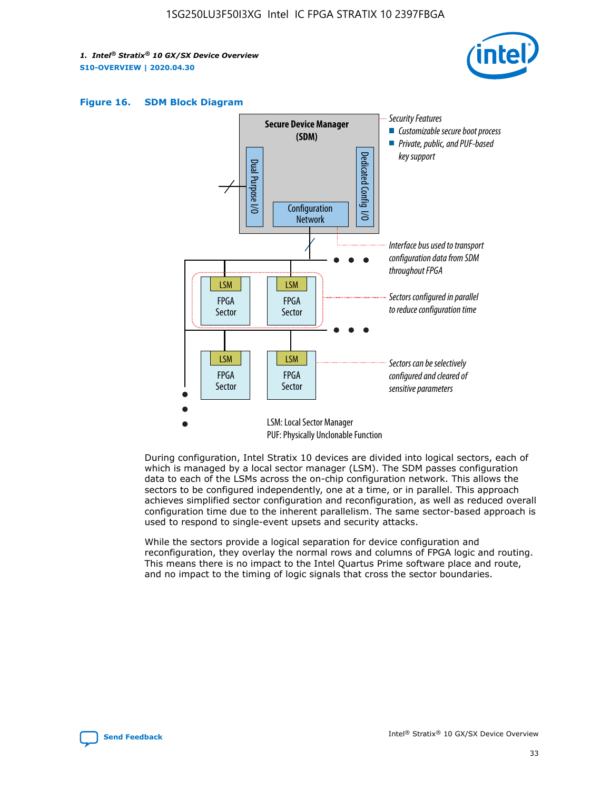





During configuration, Intel Stratix 10 devices are divided into logical sectors, each of which is managed by a local sector manager (LSM). The SDM passes configuration data to each of the LSMs across the on-chip configuration network. This allows the sectors to be configured independently, one at a time, or in parallel. This approach achieves simplified sector configuration and reconfiguration, as well as reduced overall configuration time due to the inherent parallelism. The same sector-based approach is used to respond to single-event upsets and security attacks.

While the sectors provide a logical separation for device configuration and reconfiguration, they overlay the normal rows and columns of FPGA logic and routing. This means there is no impact to the Intel Quartus Prime software place and route, and no impact to the timing of logic signals that cross the sector boundaries.

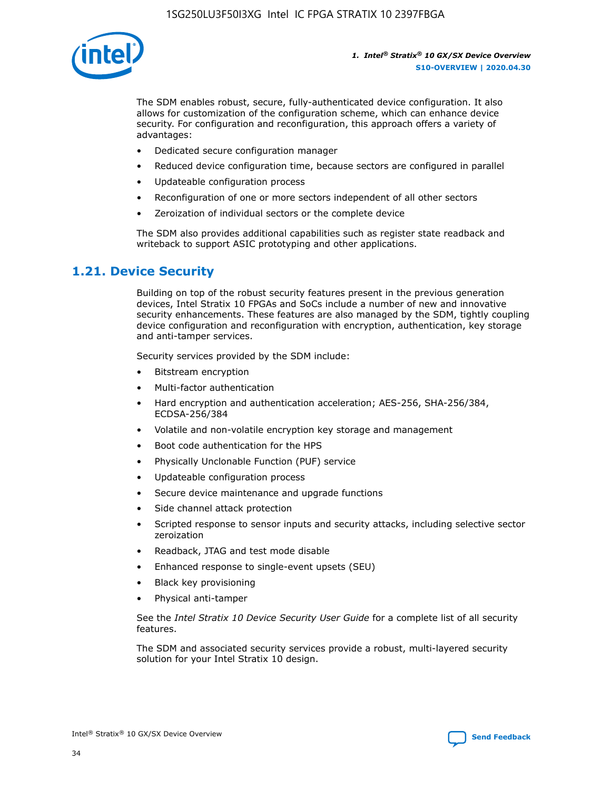

The SDM enables robust, secure, fully-authenticated device configuration. It also allows for customization of the configuration scheme, which can enhance device security. For configuration and reconfiguration, this approach offers a variety of advantages:

- Dedicated secure configuration manager
- Reduced device configuration time, because sectors are configured in parallel
- Updateable configuration process
- Reconfiguration of one or more sectors independent of all other sectors
- Zeroization of individual sectors or the complete device

The SDM also provides additional capabilities such as register state readback and writeback to support ASIC prototyping and other applications.

## **1.21. Device Security**

Building on top of the robust security features present in the previous generation devices, Intel Stratix 10 FPGAs and SoCs include a number of new and innovative security enhancements. These features are also managed by the SDM, tightly coupling device configuration and reconfiguration with encryption, authentication, key storage and anti-tamper services.

Security services provided by the SDM include:

- Bitstream encryption
- Multi-factor authentication
- Hard encryption and authentication acceleration; AES-256, SHA-256/384, ECDSA-256/384
- Volatile and non-volatile encryption key storage and management
- Boot code authentication for the HPS
- Physically Unclonable Function (PUF) service
- Updateable configuration process
- Secure device maintenance and upgrade functions
- Side channel attack protection
- Scripted response to sensor inputs and security attacks, including selective sector zeroization
- Readback, JTAG and test mode disable
- Enhanced response to single-event upsets (SEU)
- Black key provisioning
- Physical anti-tamper

See the *Intel Stratix 10 Device Security User Guide* for a complete list of all security features.

The SDM and associated security services provide a robust, multi-layered security solution for your Intel Stratix 10 design.

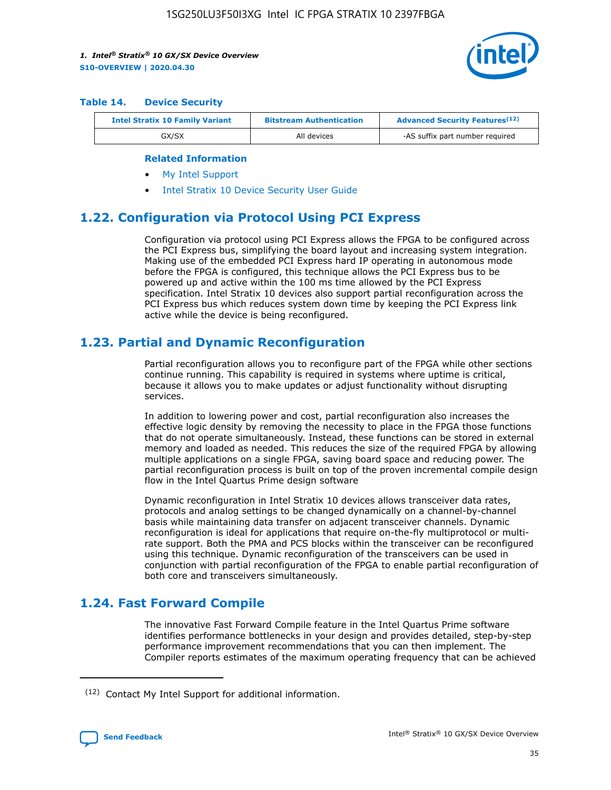

#### **Table 14. Device Security**

| <b>Intel Stratix 10 Family Variant</b> | <b>Bitstream Authentication</b> | <b>Advanced Security Features</b> <sup>(12)</sup> |
|----------------------------------------|---------------------------------|---------------------------------------------------|
| GX/SX                                  | All devices                     | -AS suffix part number required                   |

#### **Related Information**

- [My Intel Support](https://www.intel.com/content/www/us/en/programmable/my-intel/mal-home.html)
- [Intel Stratix 10 Device Security User Guide](https://www.intel.com/content/www/us/en/programmable/documentation/ndq1483601370898.html#wcd1483611014402)

## **1.22. Configuration via Protocol Using PCI Express**

Configuration via protocol using PCI Express allows the FPGA to be configured across the PCI Express bus, simplifying the board layout and increasing system integration. Making use of the embedded PCI Express hard IP operating in autonomous mode before the FPGA is configured, this technique allows the PCI Express bus to be powered up and active within the 100 ms time allowed by the PCI Express specification. Intel Stratix 10 devices also support partial reconfiguration across the PCI Express bus which reduces system down time by keeping the PCI Express link active while the device is being reconfigured.

## **1.23. Partial and Dynamic Reconfiguration**

Partial reconfiguration allows you to reconfigure part of the FPGA while other sections continue running. This capability is required in systems where uptime is critical, because it allows you to make updates or adjust functionality without disrupting services.

In addition to lowering power and cost, partial reconfiguration also increases the effective logic density by removing the necessity to place in the FPGA those functions that do not operate simultaneously. Instead, these functions can be stored in external memory and loaded as needed. This reduces the size of the required FPGA by allowing multiple applications on a single FPGA, saving board space and reducing power. The partial reconfiguration process is built on top of the proven incremental compile design flow in the Intel Quartus Prime design software

Dynamic reconfiguration in Intel Stratix 10 devices allows transceiver data rates, protocols and analog settings to be changed dynamically on a channel-by-channel basis while maintaining data transfer on adjacent transceiver channels. Dynamic reconfiguration is ideal for applications that require on-the-fly multiprotocol or multirate support. Both the PMA and PCS blocks within the transceiver can be reconfigured using this technique. Dynamic reconfiguration of the transceivers can be used in conjunction with partial reconfiguration of the FPGA to enable partial reconfiguration of both core and transceivers simultaneously.

## **1.24. Fast Forward Compile**

The innovative Fast Forward Compile feature in the Intel Quartus Prime software identifies performance bottlenecks in your design and provides detailed, step-by-step performance improvement recommendations that you can then implement. The Compiler reports estimates of the maximum operating frequency that can be achieved

<sup>(12)</sup> Contact My Intel Support for additional information.

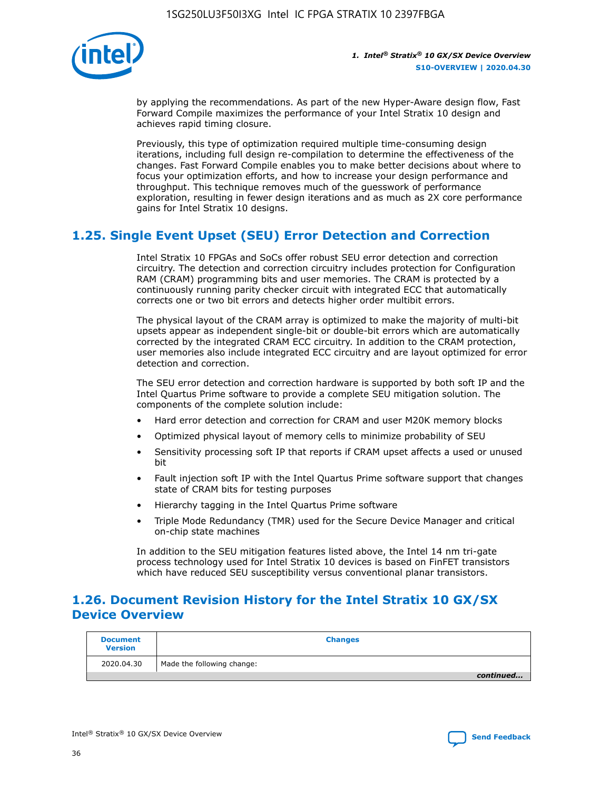

by applying the recommendations. As part of the new Hyper-Aware design flow, Fast Forward Compile maximizes the performance of your Intel Stratix 10 design and achieves rapid timing closure.

Previously, this type of optimization required multiple time-consuming design iterations, including full design re-compilation to determine the effectiveness of the changes. Fast Forward Compile enables you to make better decisions about where to focus your optimization efforts, and how to increase your design performance and throughput. This technique removes much of the guesswork of performance exploration, resulting in fewer design iterations and as much as 2X core performance gains for Intel Stratix 10 designs.

## **1.25. Single Event Upset (SEU) Error Detection and Correction**

Intel Stratix 10 FPGAs and SoCs offer robust SEU error detection and correction circuitry. The detection and correction circuitry includes protection for Configuration RAM (CRAM) programming bits and user memories. The CRAM is protected by a continuously running parity checker circuit with integrated ECC that automatically corrects one or two bit errors and detects higher order multibit errors.

The physical layout of the CRAM array is optimized to make the majority of multi-bit upsets appear as independent single-bit or double-bit errors which are automatically corrected by the integrated CRAM ECC circuitry. In addition to the CRAM protection, user memories also include integrated ECC circuitry and are layout optimized for error detection and correction.

The SEU error detection and correction hardware is supported by both soft IP and the Intel Quartus Prime software to provide a complete SEU mitigation solution. The components of the complete solution include:

- Hard error detection and correction for CRAM and user M20K memory blocks
- Optimized physical layout of memory cells to minimize probability of SEU
- Sensitivity processing soft IP that reports if CRAM upset affects a used or unused bit
- Fault injection soft IP with the Intel Quartus Prime software support that changes state of CRAM bits for testing purposes
- Hierarchy tagging in the Intel Quartus Prime software
- Triple Mode Redundancy (TMR) used for the Secure Device Manager and critical on-chip state machines

In addition to the SEU mitigation features listed above, the Intel 14 nm tri-gate process technology used for Intel Stratix 10 devices is based on FinFET transistors which have reduced SEU susceptibility versus conventional planar transistors.

## **1.26. Document Revision History for the Intel Stratix 10 GX/SX Device Overview**

| <b>Document</b><br><b>Version</b> | <b>Changes</b>             |
|-----------------------------------|----------------------------|
| 2020.04.30                        | Made the following change: |
|                                   | continued                  |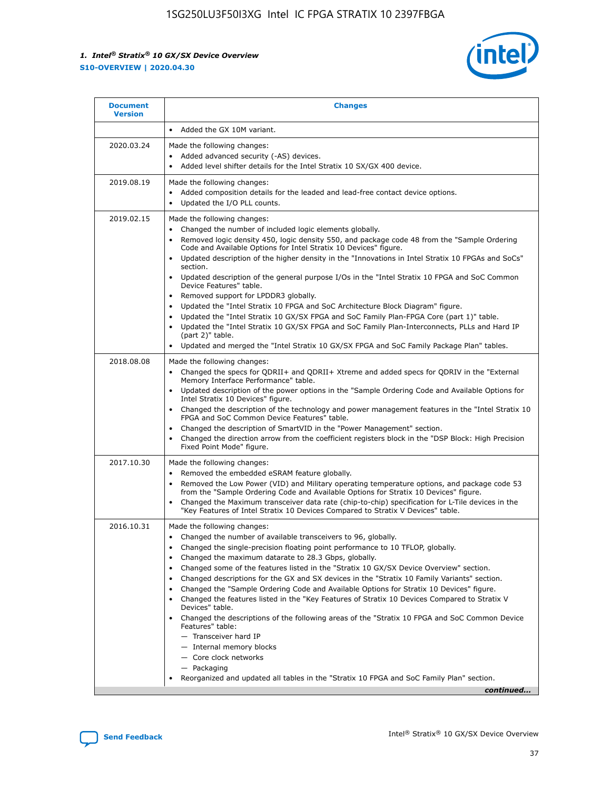

| • Added the GX 10M variant.<br>Made the following changes:<br>Added advanced security (-AS) devices.<br>$\bullet$<br>Added level shifter details for the Intel Stratix 10 SX/GX 400 device.<br>$\bullet$<br>Made the following changes:<br>Added composition details for the leaded and lead-free contact device options.                                                                                                                                                                                                                                                                                                                                                                                                                                                                                                                                                                                                                                                                                                     |
|-------------------------------------------------------------------------------------------------------------------------------------------------------------------------------------------------------------------------------------------------------------------------------------------------------------------------------------------------------------------------------------------------------------------------------------------------------------------------------------------------------------------------------------------------------------------------------------------------------------------------------------------------------------------------------------------------------------------------------------------------------------------------------------------------------------------------------------------------------------------------------------------------------------------------------------------------------------------------------------------------------------------------------|
|                                                                                                                                                                                                                                                                                                                                                                                                                                                                                                                                                                                                                                                                                                                                                                                                                                                                                                                                                                                                                               |
|                                                                                                                                                                                                                                                                                                                                                                                                                                                                                                                                                                                                                                                                                                                                                                                                                                                                                                                                                                                                                               |
| Updated the I/O PLL counts.<br>$\bullet$                                                                                                                                                                                                                                                                                                                                                                                                                                                                                                                                                                                                                                                                                                                                                                                                                                                                                                                                                                                      |
| Made the following changes:<br>Changed the number of included logic elements globally.<br>$\bullet$<br>Removed logic density 450, logic density 550, and package code 48 from the "Sample Ordering<br>$\bullet$<br>Code and Available Options for Intel Stratix 10 Devices" figure.<br>Updated description of the higher density in the "Innovations in Intel Stratix 10 FPGAs and SoCs"<br>section.<br>Updated description of the general purpose I/Os in the "Intel Stratix 10 FPGA and SoC Common<br>$\bullet$<br>Device Features" table.<br>Removed support for LPDDR3 globally.<br>٠<br>Updated the "Intel Stratix 10 FPGA and SoC Architecture Block Diagram" figure.<br>Updated the "Intel Stratix 10 GX/SX FPGA and SoC Family Plan-FPGA Core (part 1)" table.<br>$\bullet$<br>Updated the "Intel Stratix 10 GX/SX FPGA and SoC Family Plan-Interconnects, PLLs and Hard IP<br>$\bullet$<br>(part 2)" table.<br>Updated and merged the "Intel Stratix 10 GX/SX FPGA and SoC Family Package Plan" tables.<br>$\bullet$ |
| Made the following changes:<br>Changed the specs for ODRII+ and ODRII+ Xtreme and added specs for ODRIV in the "External<br>$\bullet$<br>Memory Interface Performance" table.<br>Updated description of the power options in the "Sample Ordering Code and Available Options for<br>Intel Stratix 10 Devices" figure.<br>Changed the description of the technology and power management features in the "Intel Stratix 10<br>FPGA and SoC Common Device Features" table.<br>Changed the description of SmartVID in the "Power Management" section.<br>Changed the direction arrow from the coefficient registers block in the "DSP Block: High Precision<br>Fixed Point Mode" figure.                                                                                                                                                                                                                                                                                                                                         |
| Made the following changes:<br>Removed the embedded eSRAM feature globally.<br>$\bullet$<br>Removed the Low Power (VID) and Military operating temperature options, and package code 53<br>$\bullet$<br>from the "Sample Ordering Code and Available Options for Stratix 10 Devices" figure.<br>Changed the Maximum transceiver data rate (chip-to-chip) specification for L-Tile devices in the<br>٠<br>"Key Features of Intel Stratix 10 Devices Compared to Stratix V Devices" table.                                                                                                                                                                                                                                                                                                                                                                                                                                                                                                                                      |
| Made the following changes:<br>• Changed the number of available transceivers to 96, globally.<br>Changed the single-precision floating point performance to 10 TFLOP, globally.<br>Changed the maximum datarate to 28.3 Gbps, globally.<br>Changed some of the features listed in the "Stratix 10 GX/SX Device Overview" section.<br>٠<br>Changed descriptions for the GX and SX devices in the "Stratix 10 Family Variants" section.<br>٠<br>Changed the "Sample Ordering Code and Available Options for Stratix 10 Devices" figure.<br>٠<br>Changed the features listed in the "Key Features of Stratix 10 Devices Compared to Stratix V<br>٠<br>Devices" table.<br>Changed the descriptions of the following areas of the "Stratix 10 FPGA and SoC Common Device<br>Features" table:<br>- Transceiver hard IP<br>- Internal memory blocks<br>- Core clock networks<br>- Packaging<br>Reorganized and updated all tables in the "Stratix 10 FPGA and SoC Family Plan" section.<br>continued                                |
|                                                                                                                                                                                                                                                                                                                                                                                                                                                                                                                                                                                                                                                                                                                                                                                                                                                                                                                                                                                                                               |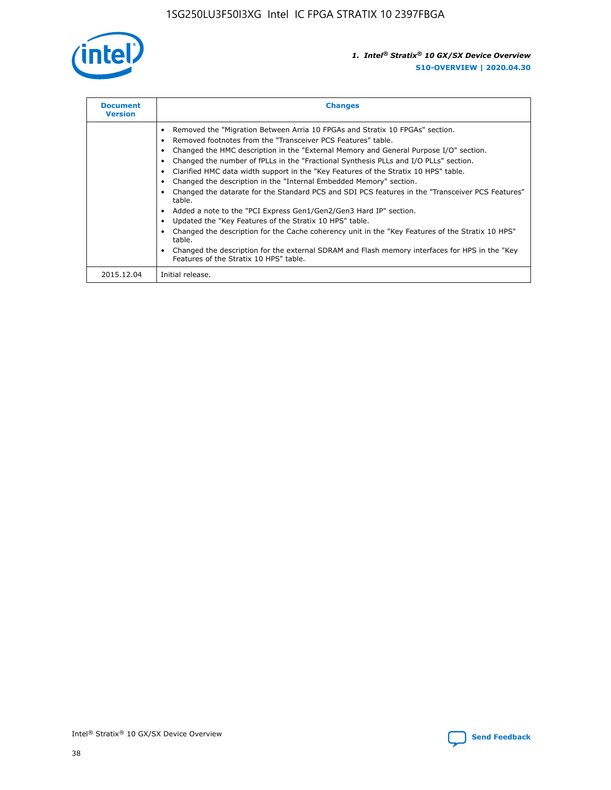

| <b>Document</b><br><b>Version</b> | <b>Changes</b>                                                                                                                                                                                                                                                                                                                                                                                                                                                                                                                                                                                                                                                                                                                                                                                                                                                                                                                                                                                     |
|-----------------------------------|----------------------------------------------------------------------------------------------------------------------------------------------------------------------------------------------------------------------------------------------------------------------------------------------------------------------------------------------------------------------------------------------------------------------------------------------------------------------------------------------------------------------------------------------------------------------------------------------------------------------------------------------------------------------------------------------------------------------------------------------------------------------------------------------------------------------------------------------------------------------------------------------------------------------------------------------------------------------------------------------------|
|                                   | Removed the "Migration Between Arria 10 FPGAs and Stratix 10 FPGAs" section.<br>Removed footnotes from the "Transceiver PCS Features" table.<br>Changed the HMC description in the "External Memory and General Purpose I/O" section.<br>Changed the number of fPLLs in the "Fractional Synthesis PLLs and I/O PLLs" section.<br>Clarified HMC data width support in the "Key Features of the Stratix 10 HPS" table.<br>Changed the description in the "Internal Embedded Memory" section.<br>Changed the datarate for the Standard PCS and SDI PCS features in the "Transceiver PCS Features"<br>table.<br>Added a note to the "PCI Express Gen1/Gen2/Gen3 Hard IP" section.<br>Updated the "Key Features of the Stratix 10 HPS" table.<br>Changed the description for the Cache coherency unit in the "Key Features of the Stratix 10 HPS"<br>table.<br>Changed the description for the external SDRAM and Flash memory interfaces for HPS in the "Key<br>Features of the Stratix 10 HPS" table. |
| 2015.12.04                        | Initial release.                                                                                                                                                                                                                                                                                                                                                                                                                                                                                                                                                                                                                                                                                                                                                                                                                                                                                                                                                                                   |